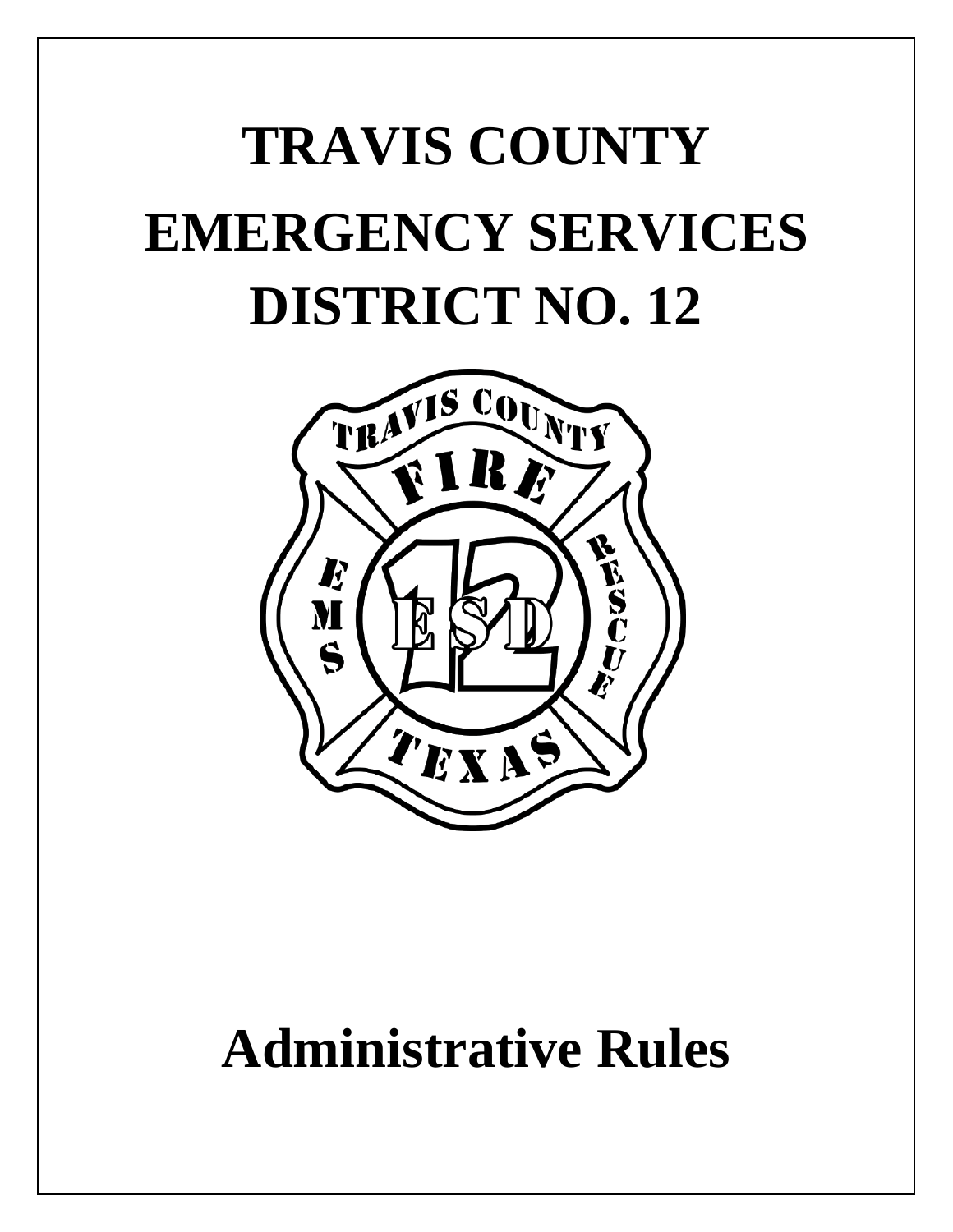# **TRAVIS COUNTY EMERGENCY SERVICES DISTRICT NO. 12**



**Administrative Rules**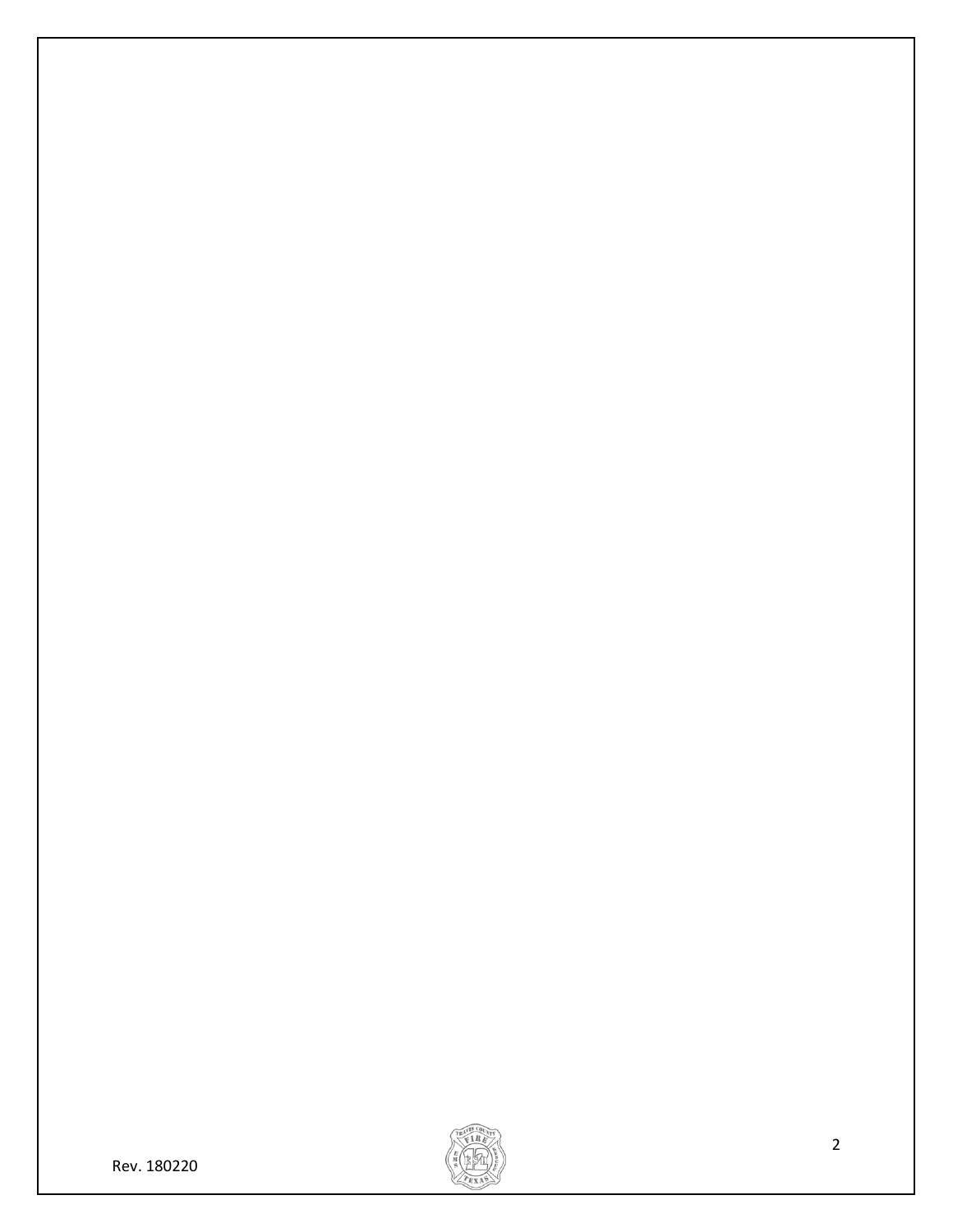

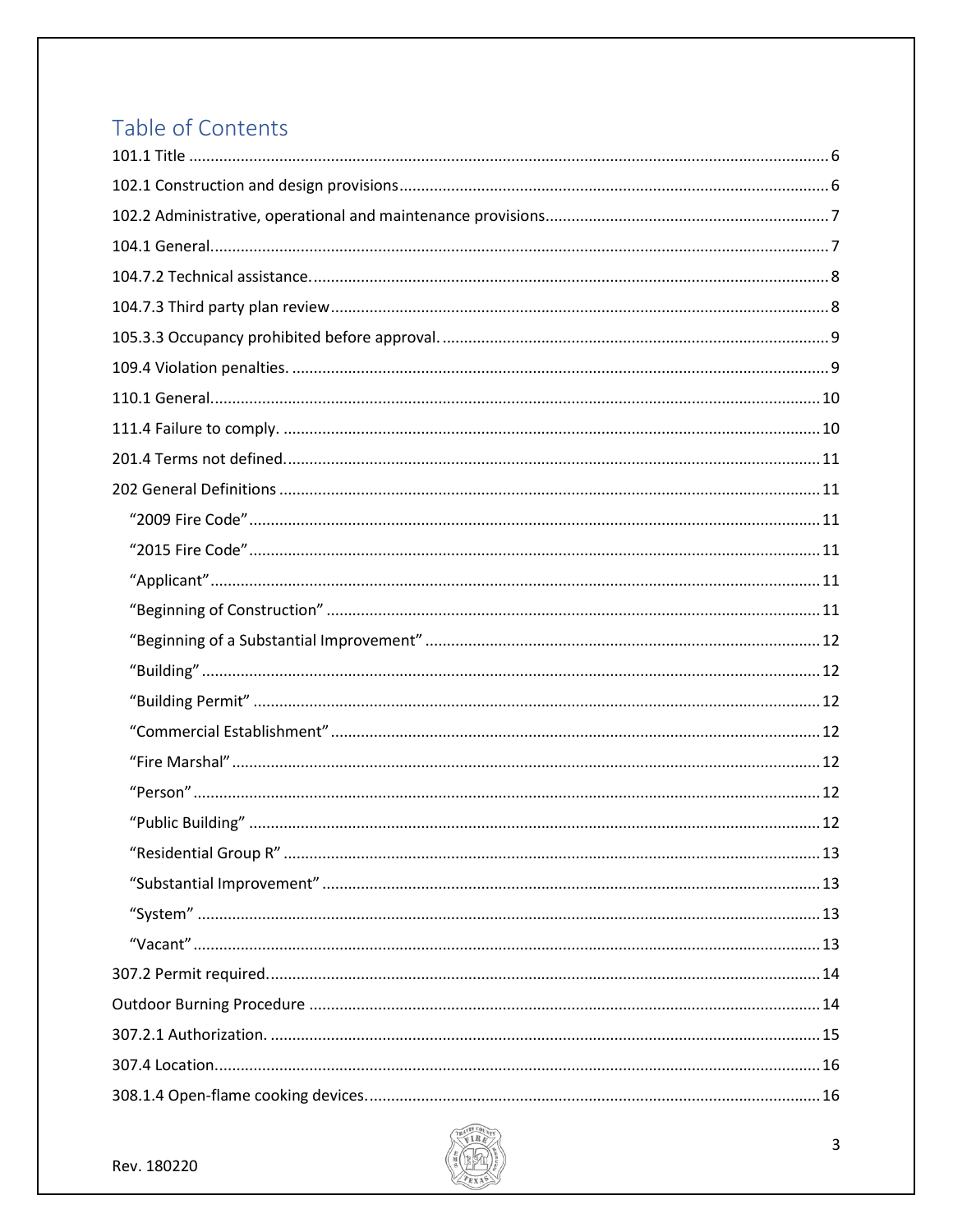# Table of Contents

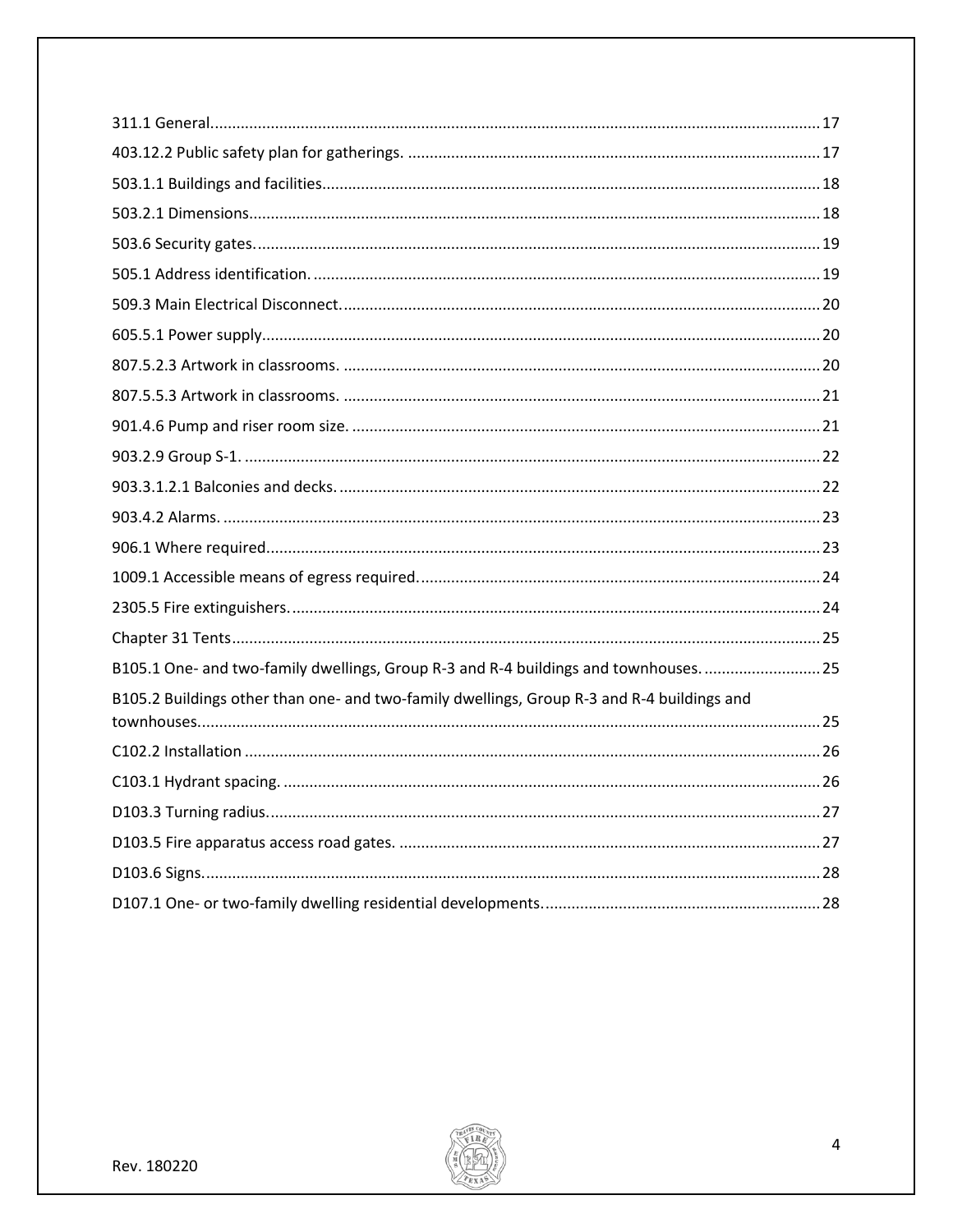| B105.1 One- and two-family dwellings, Group R-3 and R-4 buildings and townhouses. 25       |
|--------------------------------------------------------------------------------------------|
| B105.2 Buildings other than one- and two-family dwellings, Group R-3 and R-4 buildings and |
|                                                                                            |
|                                                                                            |
|                                                                                            |
|                                                                                            |
|                                                                                            |
|                                                                                            |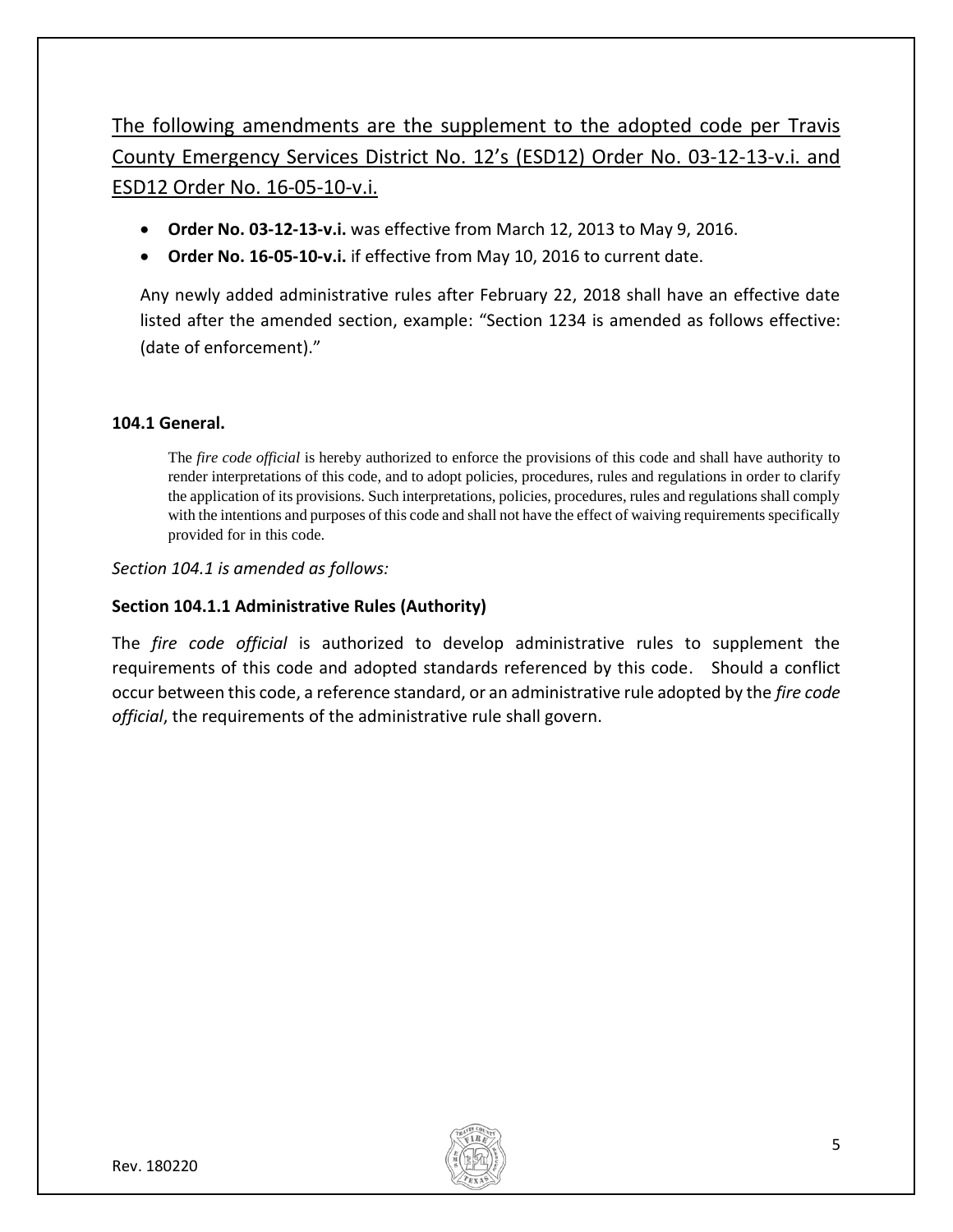The following amendments are the supplement to the adopted code per Travis County Emergency Services District No. 12's (ESD12) Order No. 03-12-13-v.i. and ESD12 Order No. 16-05-10-v.i.

- **Order No. 03-12-13-v.i.** was effective from March 12, 2013 to May 9, 2016.
- **Order No. 16-05-10-v.i.** if effective from May 10, 2016 to current date.

Any newly added administrative rules after February 22, 2018 shall have an effective date listed after the amended section, example: "Section 1234 is amended as follows effective: (date of enforcement)."

#### **104.1 General.**

The *fire code official* is hereby authorized to enforce the provisions of this code and shall have authority to render interpretations of this code, and to adopt policies, procedures, rules and regulations in order to clarify the application of its provisions. Such interpretations, policies, procedures, rules and regulations shall comply with the intentions and purposes of this code and shall not have the effect of waiving requirements specifically provided for in this code.

*Section 104.1 is amended as follows:*

#### **Section 104.1.1 Administrative Rules (Authority)**

The *fire code official* is authorized to develop administrative rules to supplement the requirements of this code and adopted standards referenced by this code. Should a conflict occur between this code, a reference standard, or an administrative rule adopted by the *fire code official*, the requirements of the administrative rule shall govern.

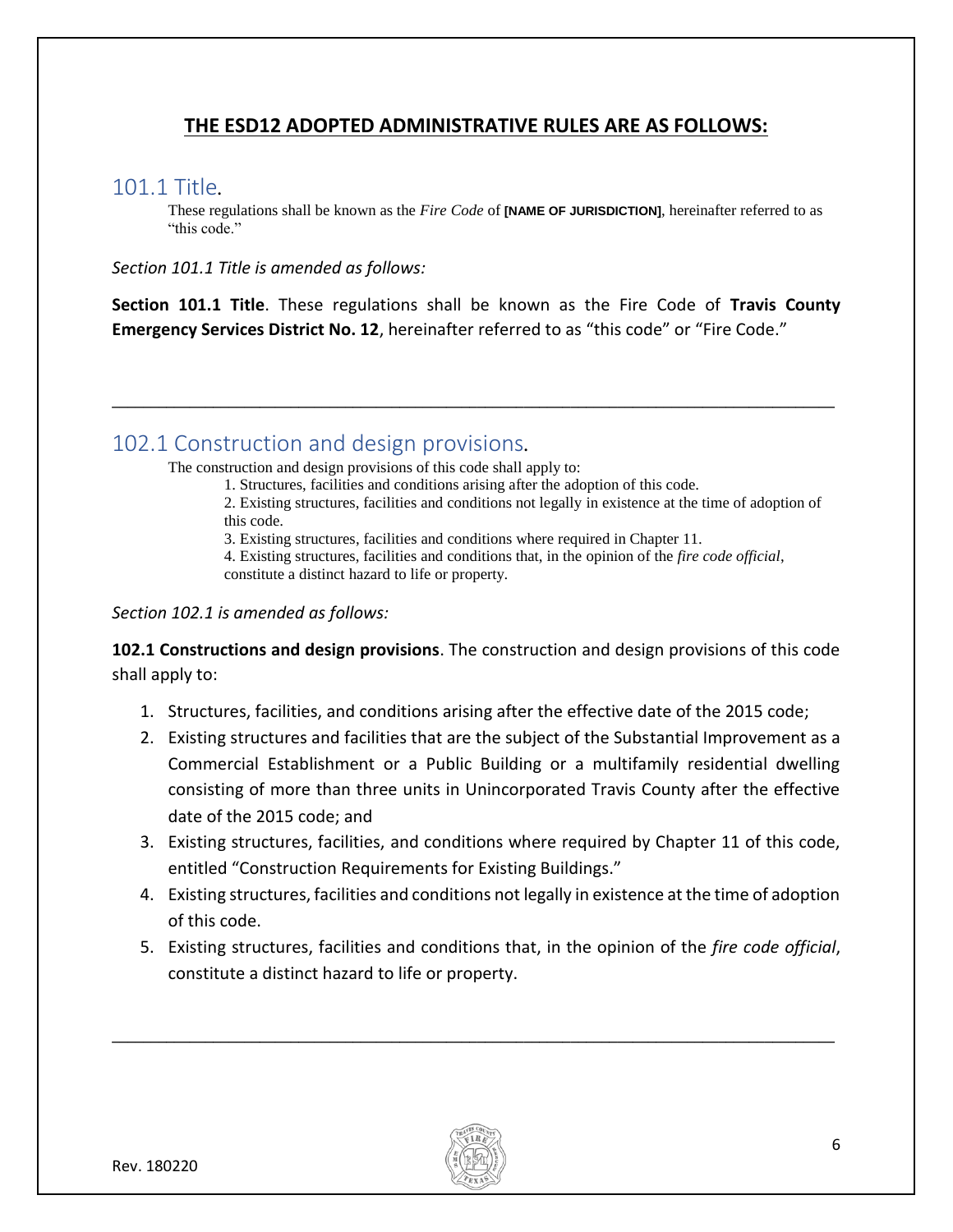## **THE ESD12 ADOPTED ADMINISTRATIVE RULES ARE AS FOLLOWS:**

#### <span id="page-5-0"></span>101.1 Title**.**

These regulations shall be known as the *Fire Code* of **[NAME OF JURISDICTION]**, hereinafter referred to as "this code."

*Section 101.1 Title is amended as follows:*

**Section 101.1 Title**. These regulations shall be known as the Fire Code of **Travis County Emergency Services District No. 12**, hereinafter referred to as "this code" or "Fire Code."

**\_\_\_\_\_\_\_\_\_\_\_\_\_\_\_\_\_\_\_\_\_\_\_\_\_\_\_\_\_\_\_\_\_\_\_\_\_\_\_\_\_\_\_\_\_\_\_\_\_\_\_\_\_\_\_\_\_\_\_\_\_\_\_\_\_\_\_\_\_\_\_\_\_\_\_\_\_\_\_\_\_\_\_\_\_\_\_\_\_\_\_\_\_**

## <span id="page-5-1"></span>102.1 Construction and design provisions**.**

The construction and design provisions of this code shall apply to:

1. Structures, facilities and conditions arising after the adoption of this code.

2. Existing structures, facilities and conditions not legally in existence at the time of adoption of this code.

3. Existing structures, facilities and conditions where required in Chapter 11.

4. Existing structures, facilities and conditions that, in the opinion of the *fire code official*, constitute a distinct hazard to life or property.

*Section 102.1 is amended as follows:*

**102.1 Constructions and design provisions**. The construction and design provisions of this code shall apply to:

- 1. Structures, facilities, and conditions arising after the effective date of the 2015 code;
- 2. Existing structures and facilities that are the subject of the Substantial Improvement as a Commercial Establishment or a Public Building or a multifamily residential dwelling consisting of more than three units in Unincorporated Travis County after the effective date of the 2015 code; and
- 3. Existing structures, facilities, and conditions where required by Chapter 11 of this code, entitled "Construction Requirements for Existing Buildings."
- 4. Existing structures, facilities and conditions not legally in existence at the time of adoption of this code.
- 5. Existing structures, facilities and conditions that, in the opinion of the *fire code official*, constitute a distinct hazard to life or property.

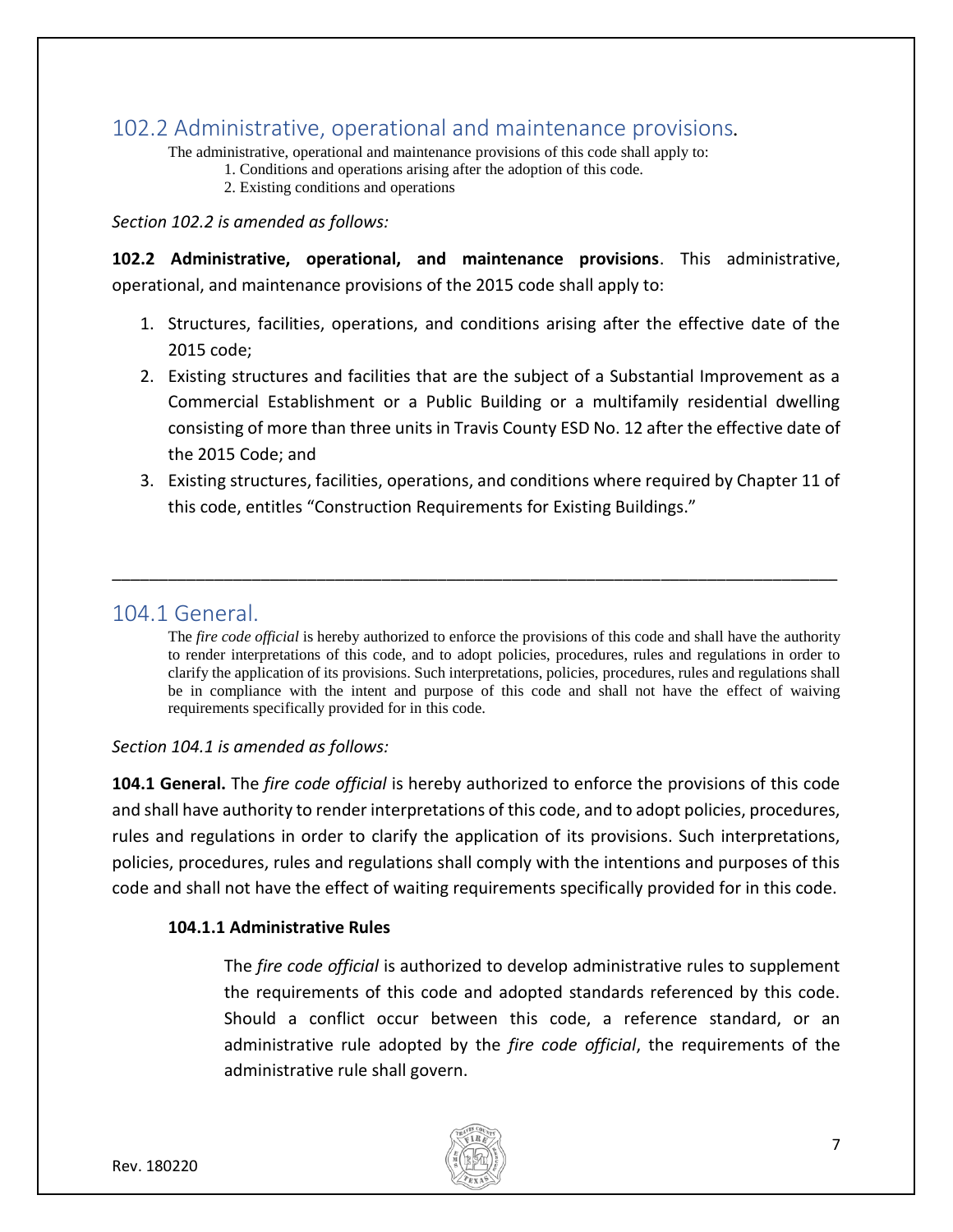## <span id="page-6-0"></span>102.2 Administrative, operational and maintenance provisions**.**

The administrative, operational and maintenance provisions of this code shall apply to:

- 1. Conditions and operations arising after the adoption of this code. 2. Existing conditions and operations
- *Section 102.2 is amended as follows:*

**102.2 Administrative, operational, and maintenance provisions**. This administrative, operational, and maintenance provisions of the 2015 code shall apply to:

- 1. Structures, facilities, operations, and conditions arising after the effective date of the 2015 code;
- 2. Existing structures and facilities that are the subject of a Substantial Improvement as a Commercial Establishment or a Public Building or a multifamily residential dwelling consisting of more than three units in Travis County ESD No. 12 after the effective date of the 2015 Code; and
- 3. Existing structures, facilities, operations, and conditions where required by Chapter 11 of this code, entitles "Construction Requirements for Existing Buildings."

\_\_\_\_\_\_\_\_\_\_\_\_\_\_\_\_\_\_\_\_\_\_\_\_\_\_\_\_\_\_\_\_\_\_\_\_\_\_\_\_\_\_\_\_\_\_\_\_\_\_\_\_\_\_\_\_\_\_\_\_\_\_\_\_\_\_\_\_\_\_\_\_\_\_\_\_\_\_

## <span id="page-6-1"></span>104.1 General.

The *fire code official* is hereby authorized to enforce the provisions of this code and shall have the authority to render interpretations of this code, and to adopt policies, procedures, rules and regulations in order to clarify the application of its provisions. Such interpretations, policies, procedures, rules and regulations shall be in compliance with the intent and purpose of this code and shall not have the effect of waiving requirements specifically provided for in this code.

#### *Section 104.1 is amended as follows:*

**104.1 General.** The *fire code official* is hereby authorized to enforce the provisions of this code and shall have authority to render interpretations of this code, and to adopt policies, procedures, rules and regulations in order to clarify the application of its provisions. Such interpretations, policies, procedures, rules and regulations shall comply with the intentions and purposes of this code and shall not have the effect of waiting requirements specifically provided for in this code.

#### **104.1.1 Administrative Rules**

The *fire code official* is authorized to develop administrative rules to supplement the requirements of this code and adopted standards referenced by this code. Should a conflict occur between this code, a reference standard, or an administrative rule adopted by the *fire code official*, the requirements of the administrative rule shall govern.

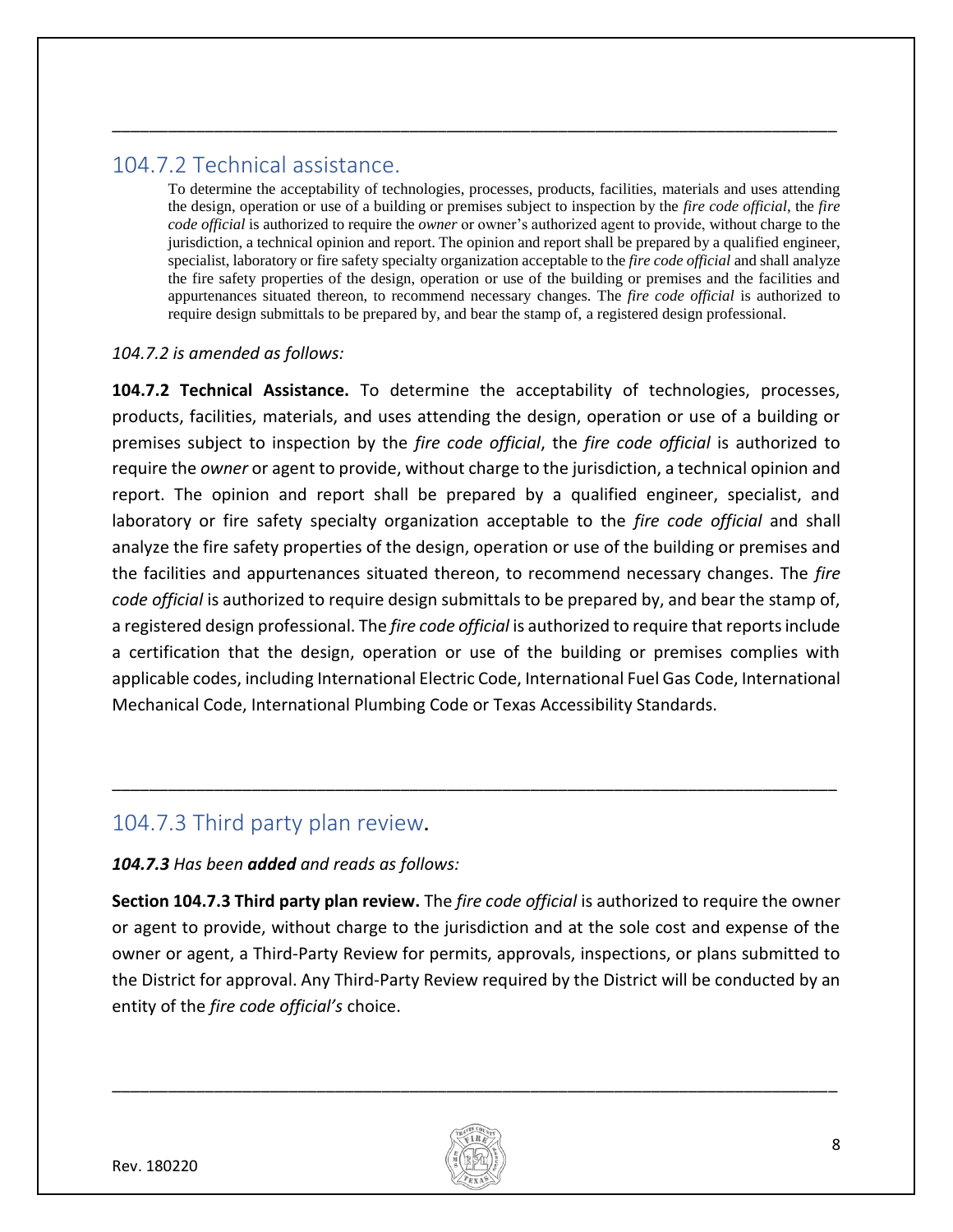## <span id="page-7-0"></span>104.7.2 Technical assistance.

To determine the acceptability of technologies, processes, products, facilities, materials and uses attending the design, operation or use of a building or premises subject to inspection by the *fire code official*, the *fire code official* is authorized to require the *owner* or owner's authorized agent to provide, without charge to the jurisdiction, a technical opinion and report. The opinion and report shall be prepared by a qualified engineer, specialist, laboratory or fire safety specialty organization acceptable to the *fire code official* and shall analyze the fire safety properties of the design, operation or use of the building or premises and the facilities and appurtenances situated thereon, to recommend necessary changes. The *fire code official* is authorized to require design submittals to be prepared by, and bear the stamp of, a registered design professional.

\_\_\_\_\_\_\_\_\_\_\_\_\_\_\_\_\_\_\_\_\_\_\_\_\_\_\_\_\_\_\_\_\_\_\_\_\_\_\_\_\_\_\_\_\_\_\_\_\_\_\_\_\_\_\_\_\_\_\_\_\_\_\_\_\_\_\_\_\_\_\_\_\_\_\_\_\_\_

#### *104.7.2 is amended as follows:*

**104.7.2 Technical Assistance.** To determine the acceptability of technologies, processes, products, facilities, materials, and uses attending the design, operation or use of a building or premises subject to inspection by the *fire code official*, the *fire code official* is authorized to require the *owner* or agent to provide, without charge to the jurisdiction, a technical opinion and report. The opinion and report shall be prepared by a qualified engineer, specialist, and laboratory or fire safety specialty organization acceptable to the *fire code official* and shall analyze the fire safety properties of the design, operation or use of the building or premises and the facilities and appurtenances situated thereon, to recommend necessary changes. The *fire code official* is authorized to require design submittals to be prepared by, and bear the stamp of, a registered design professional. The *fire code official* is authorized to require that reports include a certification that the design, operation or use of the building or premises complies with applicable codes, including International Electric Code, International Fuel Gas Code, International Mechanical Code, International Plumbing Code or Texas Accessibility Standards.

## <span id="page-7-1"></span>104.7.3 Third party plan review**.**

#### *104.7.3 Has been added and reads as follows:*

**Section 104.7.3 Third party plan review.** The *fire code official* is authorized to require the owner or agent to provide, without charge to the jurisdiction and at the sole cost and expense of the owner or agent, a Third-Party Review for permits, approvals, inspections, or plans submitted to the District for approval. Any Third-Party Review required by the District will be conducted by an entity of the *fire code official's* choice.

\_\_\_\_\_\_\_\_\_\_\_\_\_\_\_\_\_\_\_\_\_\_\_\_\_\_\_\_\_\_\_\_\_\_\_\_\_\_\_\_\_\_\_\_\_\_\_\_\_\_\_\_\_\_\_\_\_\_\_\_\_\_\_\_\_\_\_\_\_\_\_\_\_\_\_\_\_\_

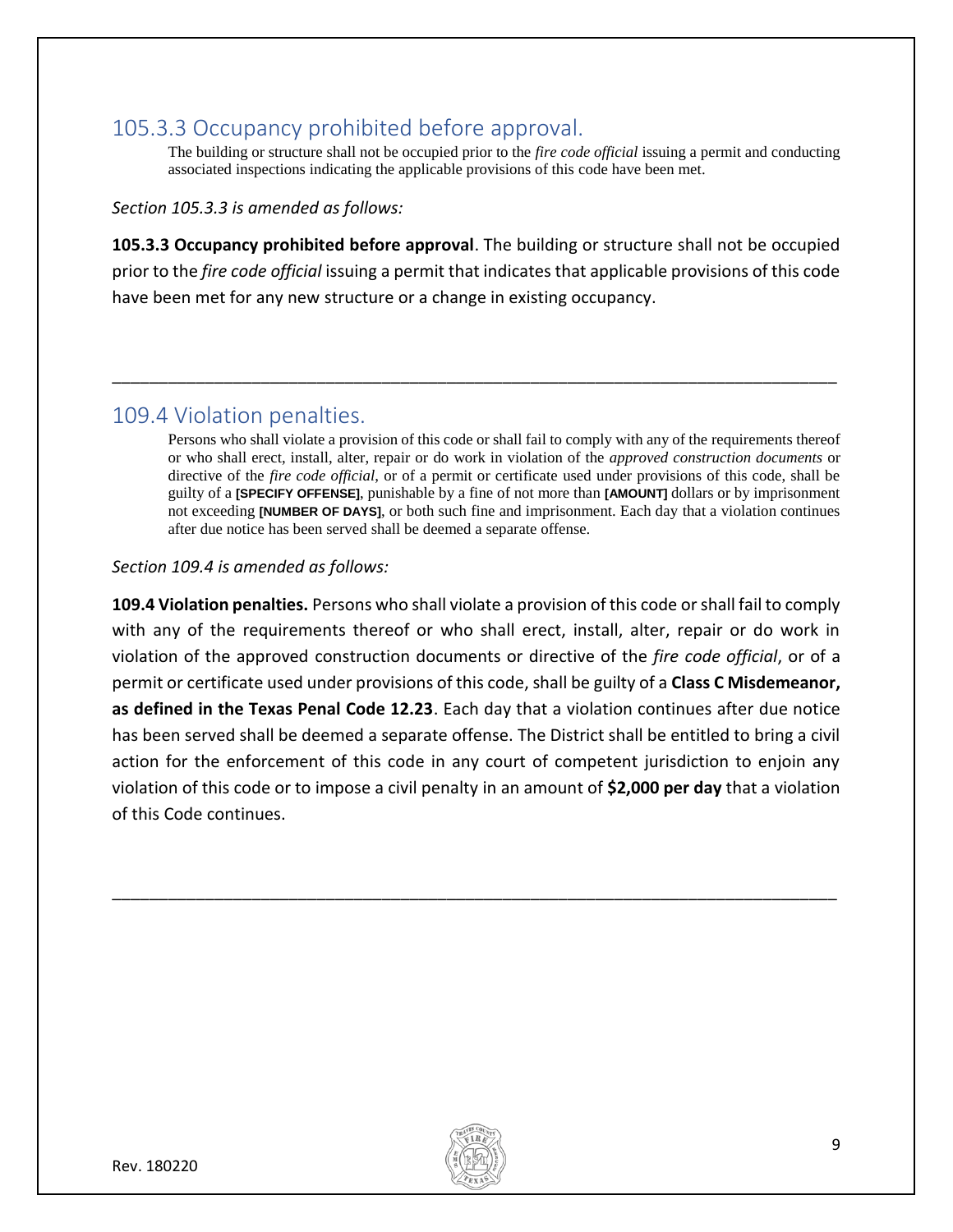## <span id="page-8-0"></span>105.3.3 Occupancy prohibited before approval.

The building or structure shall not be occupied prior to the *fire code official* issuing a permit and conducting associated inspections indicating the applicable provisions of this code have been met.

#### *Section 105.3.3 is amended as follows:*

**105.3.3 Occupancy prohibited before approval**. The building or structure shall not be occupied prior to the *fire code official* issuing a permit that indicates that applicable provisions of this code have been met for any new structure or a change in existing occupancy.

\_\_\_\_\_\_\_\_\_\_\_\_\_\_\_\_\_\_\_\_\_\_\_\_\_\_\_\_\_\_\_\_\_\_\_\_\_\_\_\_\_\_\_\_\_\_\_\_\_\_\_\_\_\_\_\_\_\_\_\_\_\_\_\_\_\_\_\_\_\_\_\_\_\_\_\_\_\_

## <span id="page-8-1"></span>109.4 Violation penalties.

Persons who shall violate a provision of this code or shall fail to comply with any of the requirements thereof or who shall erect, install, alter, repair or do work in violation of the *approved construction documents* or directive of the *fire code official*, or of a permit or certificate used under provisions of this code, shall be guilty of a **[SPECIFY OFFENSE]**, punishable by a fine of not more than **[AMOUNT]** dollars or by imprisonment not exceeding **[NUMBER OF DAYS]**, or both such fine and imprisonment. Each day that a violation continues after due notice has been served shall be deemed a separate offense.

*Section 109.4 is amended as follows:*

**109.4 Violation penalties.** Persons who shall violate a provision of this code or shall fail to comply with any of the requirements thereof or who shall erect, install, alter, repair or do work in violation of the approved construction documents or directive of the *fire code official*, or of a permit or certificate used under provisions of this code, shall be guilty of a **Class C Misdemeanor, as defined in the Texas Penal Code 12.23**. Each day that a violation continues after due notice has been served shall be deemed a separate offense. The District shall be entitled to bring a civil action for the enforcement of this code in any court of competent jurisdiction to enjoin any violation of this code or to impose a civil penalty in an amount of **\$2,000 per day** that a violation of this Code continues.

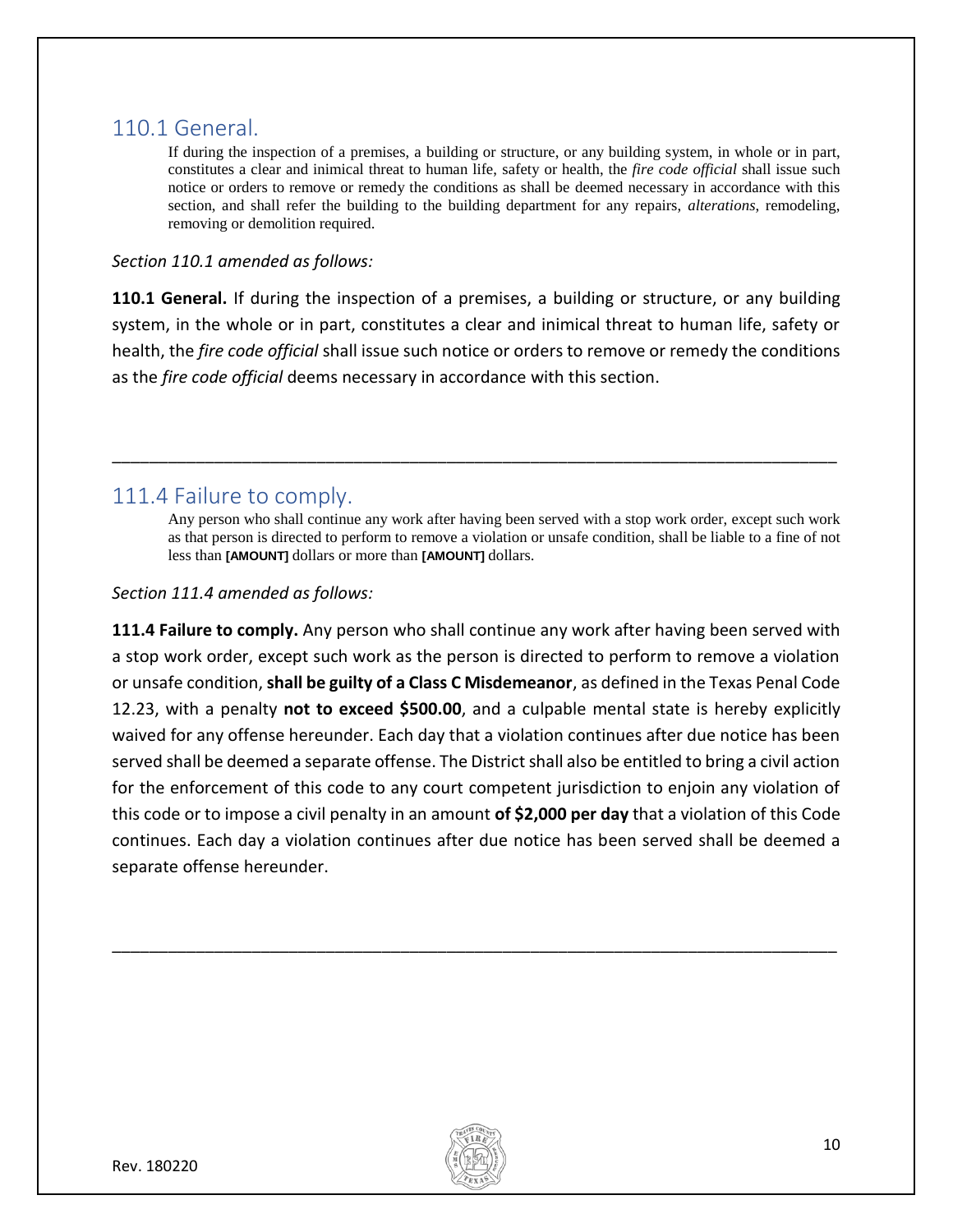## <span id="page-9-0"></span>110.1 General.

If during the inspection of a premises, a building or structure, or any building system, in whole or in part, constitutes a clear and inimical threat to human life, safety or health, the *fire code official* shall issue such notice or orders to remove or remedy the conditions as shall be deemed necessary in accordance with this section, and shall refer the building to the building department for any repairs, *alterations*, remodeling, removing or demolition required.

*Section 110.1 amended as follows:*

**110.1 General.** If during the inspection of a premises, a building or structure, or any building system, in the whole or in part, constitutes a clear and inimical threat to human life, safety or health, the *fire code official* shall issue such notice or orders to remove or remedy the conditions as the *fire code official* deems necessary in accordance with this section.

\_\_\_\_\_\_\_\_\_\_\_\_\_\_\_\_\_\_\_\_\_\_\_\_\_\_\_\_\_\_\_\_\_\_\_\_\_\_\_\_\_\_\_\_\_\_\_\_\_\_\_\_\_\_\_\_\_\_\_\_\_\_\_\_\_\_\_\_\_\_\_\_\_\_\_\_\_\_

## <span id="page-9-1"></span>111.4 Failure to comply.

Any person who shall continue any work after having been served with a stop work order, except such work as that person is directed to perform to remove a violation or unsafe condition, shall be liable to a fine of not less than **[AMOUNT]** dollars or more than **[AMOUNT]** dollars.

*Section 111.4 amended as follows:*

**111.4 Failure to comply.** Any person who shall continue any work after having been served with a stop work order, except such work as the person is directed to perform to remove a violation or unsafe condition, **shall be guilty of a Class C Misdemeanor**, as defined in the Texas Penal Code 12.23, with a penalty **not to exceed \$500.00**, and a culpable mental state is hereby explicitly waived for any offense hereunder. Each day that a violation continues after due notice has been served shall be deemed a separate offense. The District shall also be entitled to bring a civil action for the enforcement of this code to any court competent jurisdiction to enjoin any violation of this code or to impose a civil penalty in an amount **of \$2,000 per day** that a violation of this Code continues. Each day a violation continues after due notice has been served shall be deemed a separate offense hereunder.

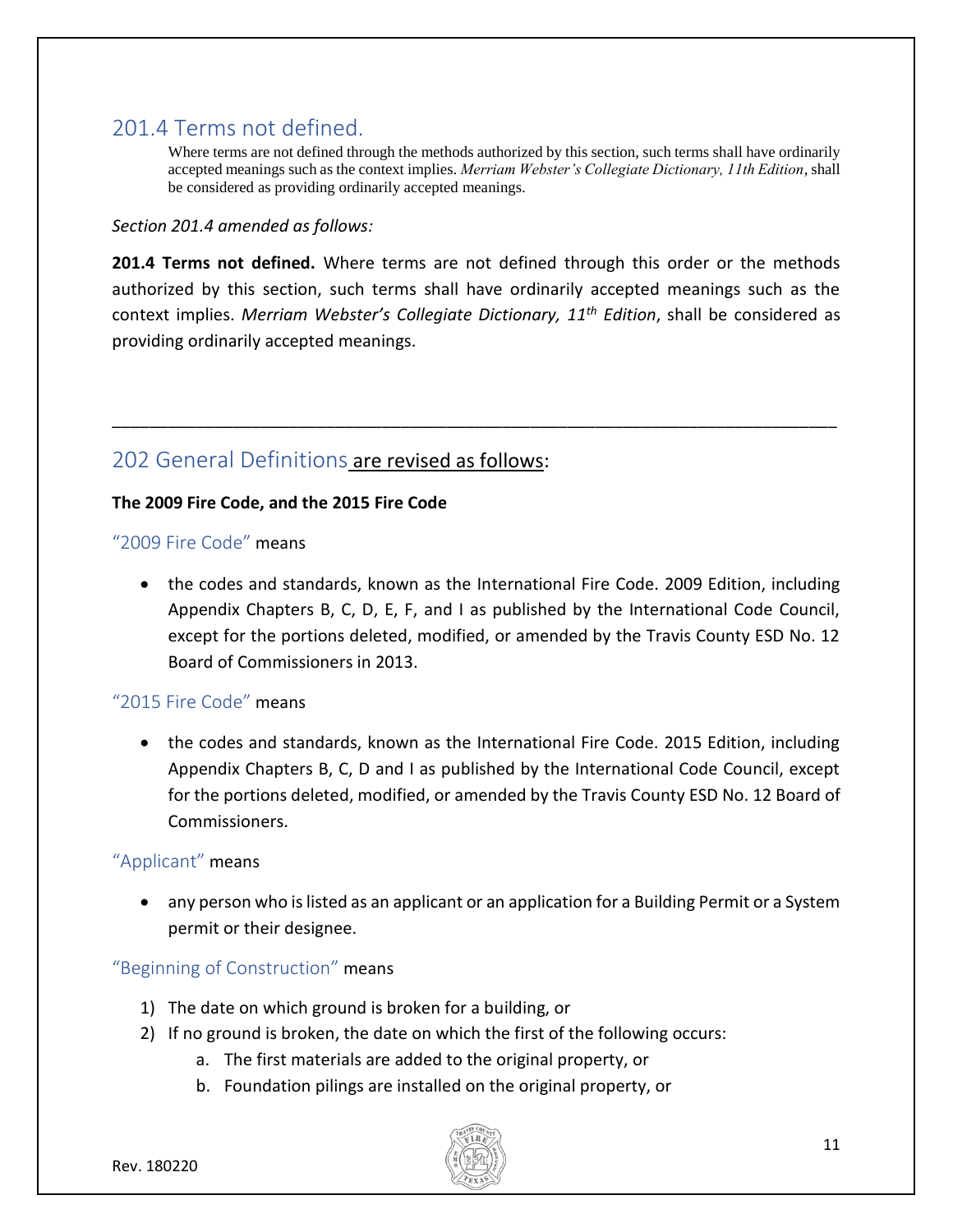## <span id="page-10-0"></span>201.4 Terms not defined.

Where terms are not defined through the methods authorized by this section, such terms shall have ordinarily accepted meanings such as the context implies. *Merriam Webster's Collegiate Dictionary, 11th Edition*, shall be considered as providing ordinarily accepted meanings.

#### *Section 201.4 amended as follows:*

**201.4 Terms not defined.** Where terms are not defined through this order or the methods authorized by this section, such terms shall have ordinarily accepted meanings such as the context implies. *Merriam Webster's Collegiate Dictionary, 11th Edition*, shall be considered as providing ordinarily accepted meanings.

\_\_\_\_\_\_\_\_\_\_\_\_\_\_\_\_\_\_\_\_\_\_\_\_\_\_\_\_\_\_\_\_\_\_\_\_\_\_\_\_\_\_\_\_\_\_\_\_\_\_\_\_\_\_\_\_\_\_\_\_\_\_\_\_\_\_\_\_\_\_\_\_\_\_\_\_\_\_

## <span id="page-10-1"></span>202 General Definitions are revised as follows:

#### **The 2009 Fire Code, and the 2015 Fire Code**

<span id="page-10-2"></span>"2009 Fire Code" means

• the codes and standards, known as the International Fire Code. 2009 Edition, including Appendix Chapters B, C, D, E, F, and I as published by the International Code Council, except for the portions deleted, modified, or amended by the Travis County ESD No. 12 Board of Commissioners in 2013.

#### <span id="page-10-3"></span>"2015 Fire Code" means

• the codes and standards, known as the International Fire Code. 2015 Edition, including Appendix Chapters B, C, D and I as published by the International Code Council, except for the portions deleted, modified, or amended by the Travis County ESD No. 12 Board of Commissioners.

#### <span id="page-10-4"></span>"Applicant" means

• any person who is listed as an applicant or an application for a Building Permit or a System permit or their designee.

#### <span id="page-10-5"></span>"Beginning of Construction" means

- 1) The date on which ground is broken for a building, or
- 2) If no ground is broken, the date on which the first of the following occurs:
	- a. The first materials are added to the original property, or
	- b. Foundation pilings are installed on the original property, or

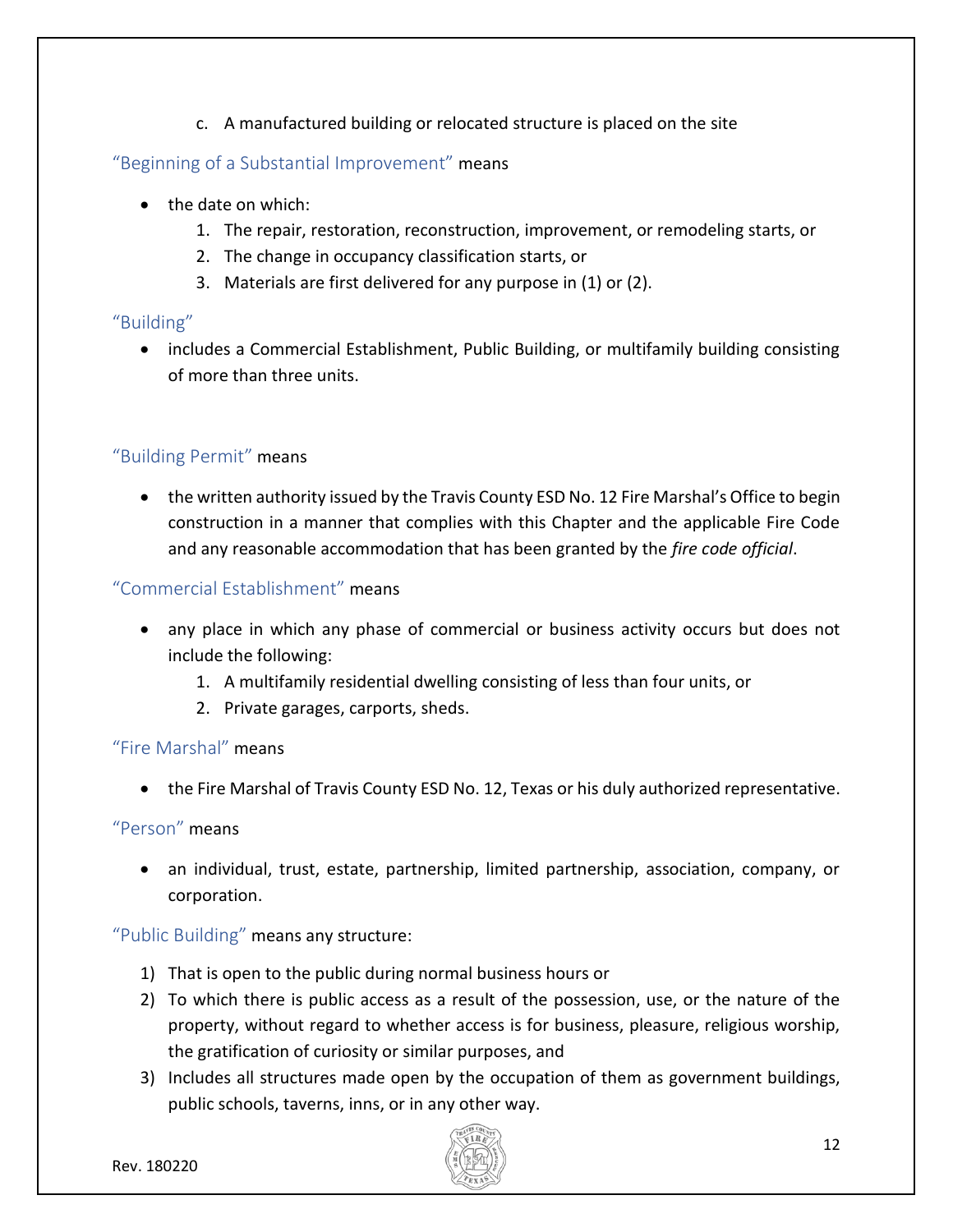c. A manufactured building or relocated structure is placed on the site

## <span id="page-11-0"></span>"Beginning of a Substantial Improvement" means

- the date on which:
	- 1. The repair, restoration, reconstruction, improvement, or remodeling starts, or
	- 2. The change in occupancy classification starts, or
	- 3. Materials are first delivered for any purpose in (1) or (2).

## <span id="page-11-1"></span>"Building"

• includes a Commercial Establishment, Public Building, or multifamily building consisting of more than three units.

## <span id="page-11-2"></span>"Building Permit" means

• the written authority issued by the Travis County ESD No. 12 Fire Marshal's Office to begin construction in a manner that complies with this Chapter and the applicable Fire Code and any reasonable accommodation that has been granted by the *fire code official*.

#### <span id="page-11-3"></span>"Commercial Establishment" means

- any place in which any phase of commercial or business activity occurs but does not include the following:
	- 1. A multifamily residential dwelling consisting of less than four units, or
	- 2. Private garages, carports, sheds.

## <span id="page-11-4"></span>"Fire Marshal" means

• the Fire Marshal of Travis County ESD No. 12, Texas or his duly authorized representative.

## <span id="page-11-5"></span>"Person" means

• an individual, trust, estate, partnership, limited partnership, association, company, or corporation.

## <span id="page-11-6"></span>"Public Building" means any structure:

- 1) That is open to the public during normal business hours or
- 2) To which there is public access as a result of the possession, use, or the nature of the property, without regard to whether access is for business, pleasure, religious worship, the gratification of curiosity or similar purposes, and
- 3) Includes all structures made open by the occupation of them as government buildings, public schools, taverns, inns, or in any other way.

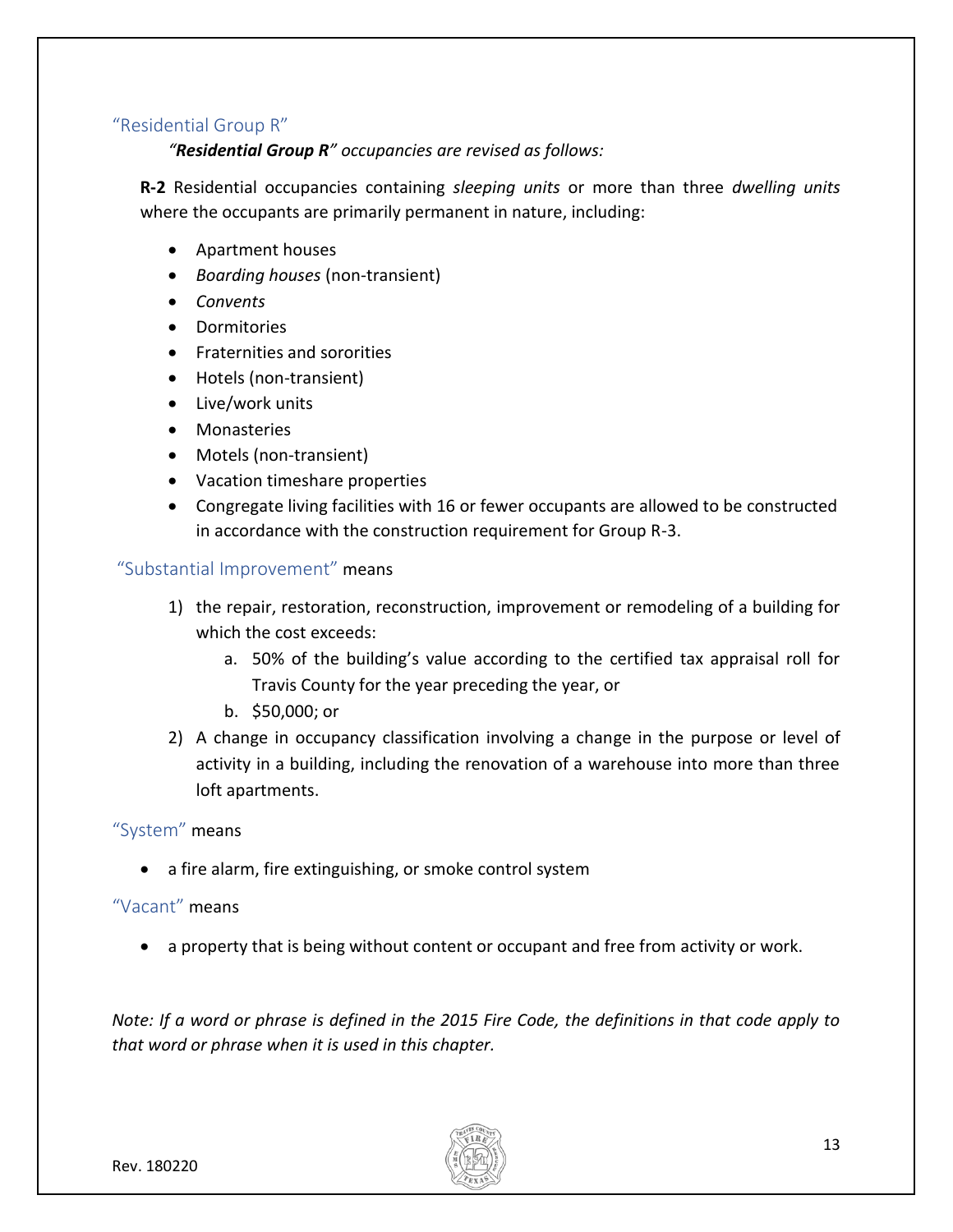#### <span id="page-12-0"></span>"Residential Group R"

*"Residential Group R" occupancies are revised as follows:*

**R-2** Residential occupancies containing *sleeping units* or more than three *dwelling units* where the occupants are primarily permanent in nature, including:

- Apartment houses
- *Boarding houses* (non-transient)
- *Convents*
- Dormitories
- Fraternities and sororities
- Hotels (non-transient)
- Live/work units
- Monasteries
- Motels (non-transient)
- Vacation timeshare properties
- Congregate living facilities with 16 or fewer occupants are allowed to be constructed in accordance with the construction requirement for Group R-3.

#### <span id="page-12-1"></span>"Substantial Improvement" means

- 1) the repair, restoration, reconstruction, improvement or remodeling of a building for which the cost exceeds:
	- a. 50% of the building's value according to the certified tax appraisal roll for Travis County for the year preceding the year, or
	- b. \$50,000; or
- 2) A change in occupancy classification involving a change in the purpose or level of activity in a building, including the renovation of a warehouse into more than three loft apartments.

#### <span id="page-12-2"></span>"System" means

• a fire alarm, fire extinguishing, or smoke control system

#### <span id="page-12-3"></span>"Vacant" means

• a property that is being without content or occupant and free from activity or work.

*Note: If a word or phrase is defined in the 2015 Fire Code, the definitions in that code apply to that word or phrase when it is used in this chapter.*

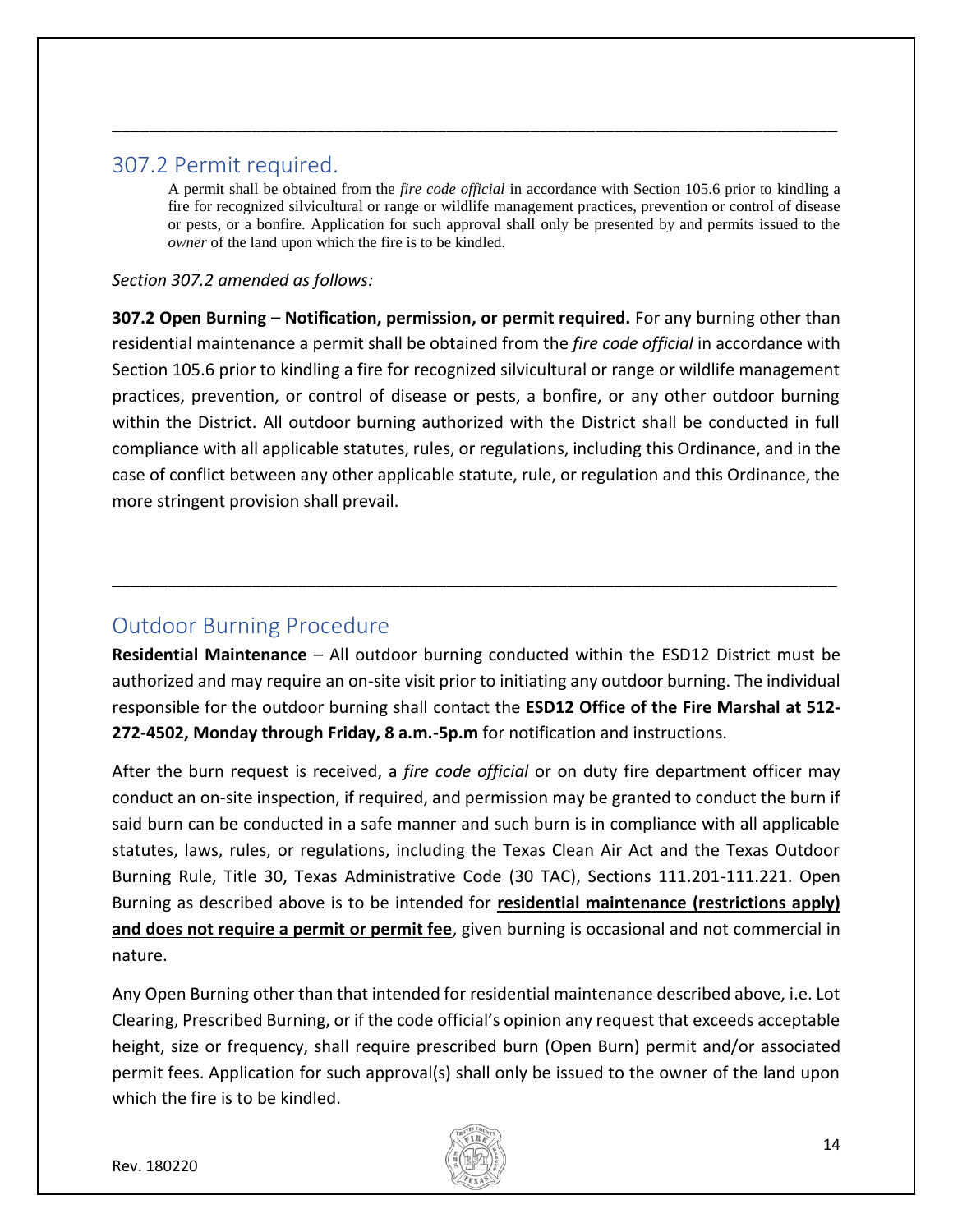## <span id="page-13-0"></span>307.2 Permit required.

A permit shall be obtained from the *fire code official* in accordance with Section 105.6 prior to kindling a fire for recognized silvicultural or range or wildlife management practices, prevention or control of disease or pests, or a bonfire. Application for such approval shall only be presented by and permits issued to the *owner* of the land upon which the fire is to be kindled.

\_\_\_\_\_\_\_\_\_\_\_\_\_\_\_\_\_\_\_\_\_\_\_\_\_\_\_\_\_\_\_\_\_\_\_\_\_\_\_\_\_\_\_\_\_\_\_\_\_\_\_\_\_\_\_\_\_\_\_\_\_\_\_\_\_\_\_\_\_\_\_\_\_\_\_\_\_\_

#### *Section 307.2 amended as follows:*

**307.2 Open Burning – Notification, permission, or permit required.** For any burning other than residential maintenance a permit shall be obtained from the *fire code official* in accordance with Section 105.6 prior to kindling a fire for recognized silvicultural or range or wildlife management practices, prevention, or control of disease or pests, a bonfire, or any other outdoor burning within the District. All outdoor burning authorized with the District shall be conducted in full compliance with all applicable statutes, rules, or regulations, including this Ordinance, and in the case of conflict between any other applicable statute, rule, or regulation and this Ordinance, the more stringent provision shall prevail.

## <span id="page-13-1"></span>Outdoor Burning Procedure

**Residential Maintenance** – All outdoor burning conducted within the ESD12 District must be authorized and may require an on-site visit prior to initiating any outdoor burning. The individual responsible for the outdoor burning shall contact the **ESD12 Office of the Fire Marshal at 512- 272-4502, Monday through Friday, 8 a.m.-5p.m** for notification and instructions.

\_\_\_\_\_\_\_\_\_\_\_\_\_\_\_\_\_\_\_\_\_\_\_\_\_\_\_\_\_\_\_\_\_\_\_\_\_\_\_\_\_\_\_\_\_\_\_\_\_\_\_\_\_\_\_\_\_\_\_\_\_\_\_\_\_\_\_\_\_\_\_\_\_\_\_\_\_\_

After the burn request is received, a *fire code official* or on duty fire department officer may conduct an on-site inspection, if required, and permission may be granted to conduct the burn if said burn can be conducted in a safe manner and such burn is in compliance with all applicable statutes, laws, rules, or regulations, including the Texas Clean Air Act and the Texas Outdoor Burning Rule, Title 30, Texas Administrative Code (30 TAC), Sections 111.201-111.221. Open Burning as described above is to be intended for **residential maintenance (restrictions apply) and does not require a permit or permit fee**, given burning is occasional and not commercial in nature.

Any Open Burning other than that intended for residential maintenance described above, i.e. Lot Clearing, Prescribed Burning, or if the code official's opinion any request that exceeds acceptable height, size or frequency, shall require prescribed burn (Open Burn) permit and/or associated permit fees. Application for such approval(s) shall only be issued to the owner of the land upon which the fire is to be kindled.

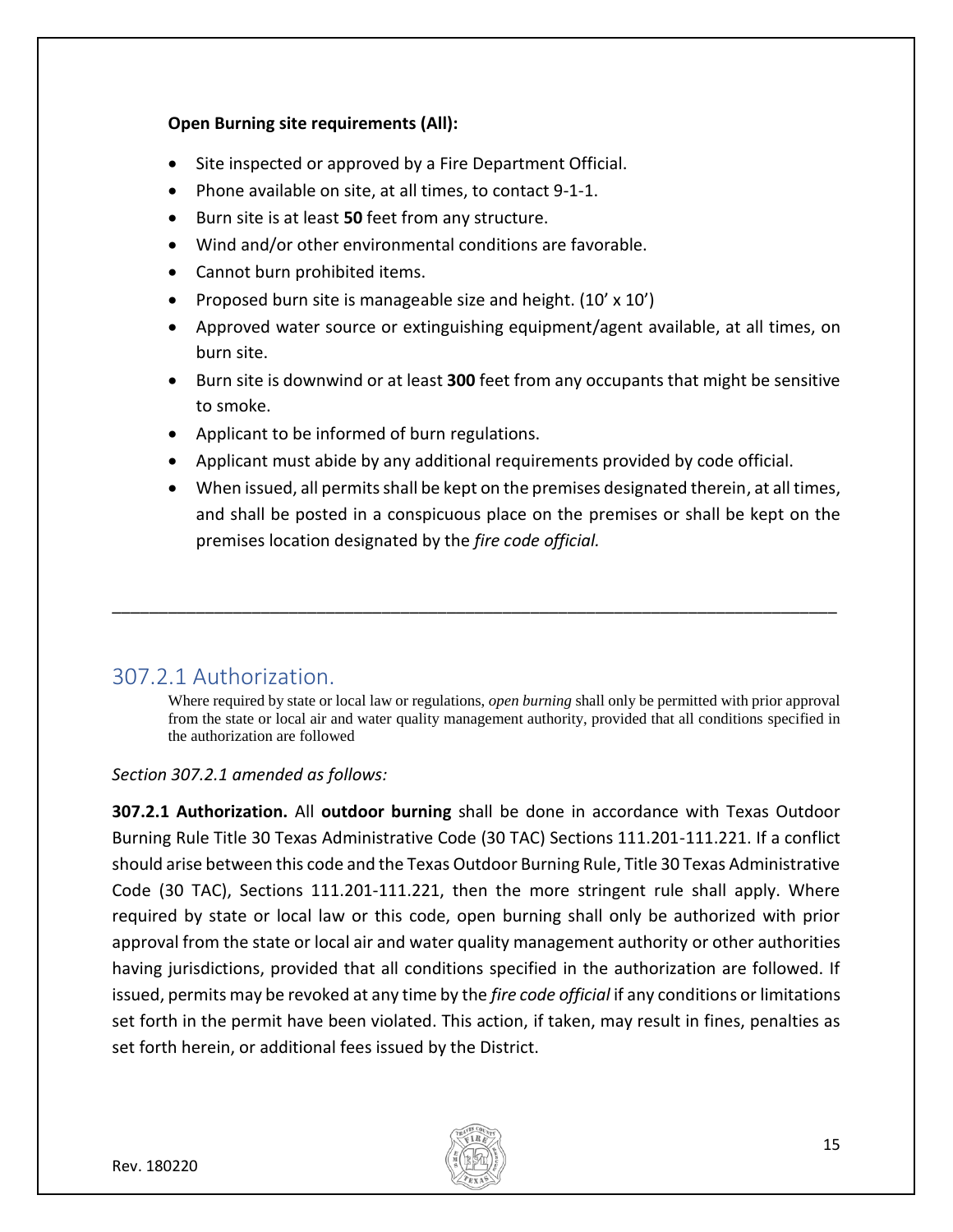#### **Open Burning site requirements (All):**

- Site inspected or approved by a Fire Department Official.
- Phone available on site, at all times, to contact 9-1-1.
- Burn site is at least **50** feet from any structure.
- Wind and/or other environmental conditions are favorable.
- Cannot burn prohibited items.
- Proposed burn site is manageable size and height. (10' x 10')
- Approved water source or extinguishing equipment/agent available, at all times, on burn site.
- Burn site is downwind or at least **300** feet from any occupants that might be sensitive to smoke.
- Applicant to be informed of burn regulations.
- Applicant must abide by any additional requirements provided by code official.

\_\_\_\_\_\_\_\_\_\_\_\_\_\_\_\_\_\_\_\_\_\_\_\_\_\_\_\_\_\_\_\_\_\_\_\_\_\_\_\_\_\_\_\_\_\_\_\_\_\_\_\_\_\_\_\_\_\_\_\_\_\_\_\_\_\_\_\_\_\_\_\_\_\_\_\_\_\_

• When issued, all permits shall be kept on the premises designated therein, at all times, and shall be posted in a conspicuous place on the premises or shall be kept on the premises location designated by the *fire code official.*

## <span id="page-14-0"></span>307.2.1 Authorization.

Where required by state or local law or regulations, *open burning* shall only be permitted with prior approval from the state or local air and water quality management authority, provided that all conditions specified in the authorization are followed

*Section 307.2.1 amended as follows:*

**307.2.1 Authorization.** All **outdoor burning** shall be done in accordance with Texas Outdoor Burning Rule Title 30 Texas Administrative Code (30 TAC) Sections 111.201-111.221. If a conflict should arise between this code and the Texas Outdoor Burning Rule, Title 30 Texas Administrative Code (30 TAC), Sections 111.201-111.221, then the more stringent rule shall apply. Where required by state or local law or this code, open burning shall only be authorized with prior approval from the state or local air and water quality management authority or other authorities having jurisdictions, provided that all conditions specified in the authorization are followed. If issued, permits may be revoked at any time by the *fire code official* if any conditions or limitations set forth in the permit have been violated. This action, if taken, may result in fines, penalties as set forth herein, or additional fees issued by the District.

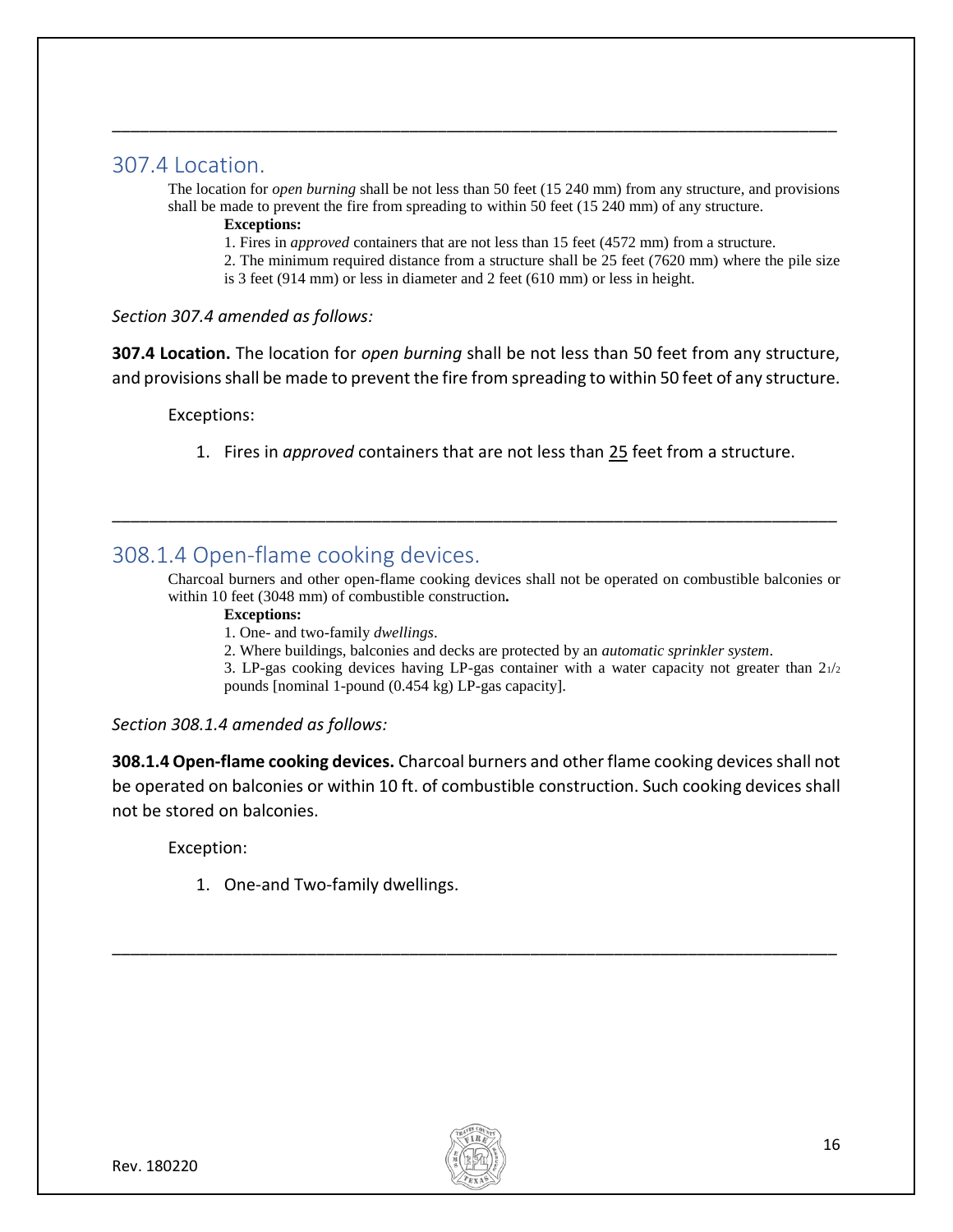#### <span id="page-15-0"></span>307.4 Location.

The location for *open burning* shall be not less than 50 feet (15 240 mm) from any structure, and provisions shall be made to prevent the fire from spreading to within 50 feet (15 240 mm) of any structure.

\_\_\_\_\_\_\_\_\_\_\_\_\_\_\_\_\_\_\_\_\_\_\_\_\_\_\_\_\_\_\_\_\_\_\_\_\_\_\_\_\_\_\_\_\_\_\_\_\_\_\_\_\_\_\_\_\_\_\_\_\_\_\_\_\_\_\_\_\_\_\_\_\_\_\_\_\_\_

**Exceptions:**

1. Fires in *approved* containers that are not less than 15 feet (4572 mm) from a structure.

2. The minimum required distance from a structure shall be 25 feet (7620 mm) where the pile size

is 3 feet (914 mm) or less in diameter and 2 feet (610 mm) or less in height.

*Section 307.4 amended as follows:*

**307.4 Location.** The location for *open burning* shall be not less than 50 feet from any structure, and provisions shall be made to prevent the fire from spreading to within 50 feet of any structure.

\_\_\_\_\_\_\_\_\_\_\_\_\_\_\_\_\_\_\_\_\_\_\_\_\_\_\_\_\_\_\_\_\_\_\_\_\_\_\_\_\_\_\_\_\_\_\_\_\_\_\_\_\_\_\_\_\_\_\_\_\_\_\_\_\_\_\_\_\_\_\_\_\_\_\_\_\_\_

Exceptions:

1. Fires in *approved* containers that are not less than 25 feet from a structure.

## <span id="page-15-1"></span>308.1.4 Open-flame cooking devices.

Charcoal burners and other open-flame cooking devices shall not be operated on combustible balconies or within 10 feet (3048 mm) of combustible construction**.**

#### **Exceptions:**

1. One- and two-family *dwellings*.

2. Where buildings, balconies and decks are protected by an *automatic sprinkler system*.

3. LP-gas cooking devices having LP-gas container with a water capacity not greater than 21/<sup>2</sup> pounds [nominal 1-pound (0.454 kg) LP-gas capacity].

*Section 308.1.4 amended as follows:*

**308.1.4 Open-flame cooking devices.** Charcoal burners and other flame cooking devices shall not be operated on balconies or within 10 ft. of combustible construction. Such cooking devices shall not be stored on balconies.

\_\_\_\_\_\_\_\_\_\_\_\_\_\_\_\_\_\_\_\_\_\_\_\_\_\_\_\_\_\_\_\_\_\_\_\_\_\_\_\_\_\_\_\_\_\_\_\_\_\_\_\_\_\_\_\_\_\_\_\_\_\_\_\_\_\_\_\_\_\_\_\_\_\_\_\_\_\_

Exception:

1. One-and Two-family dwellings.

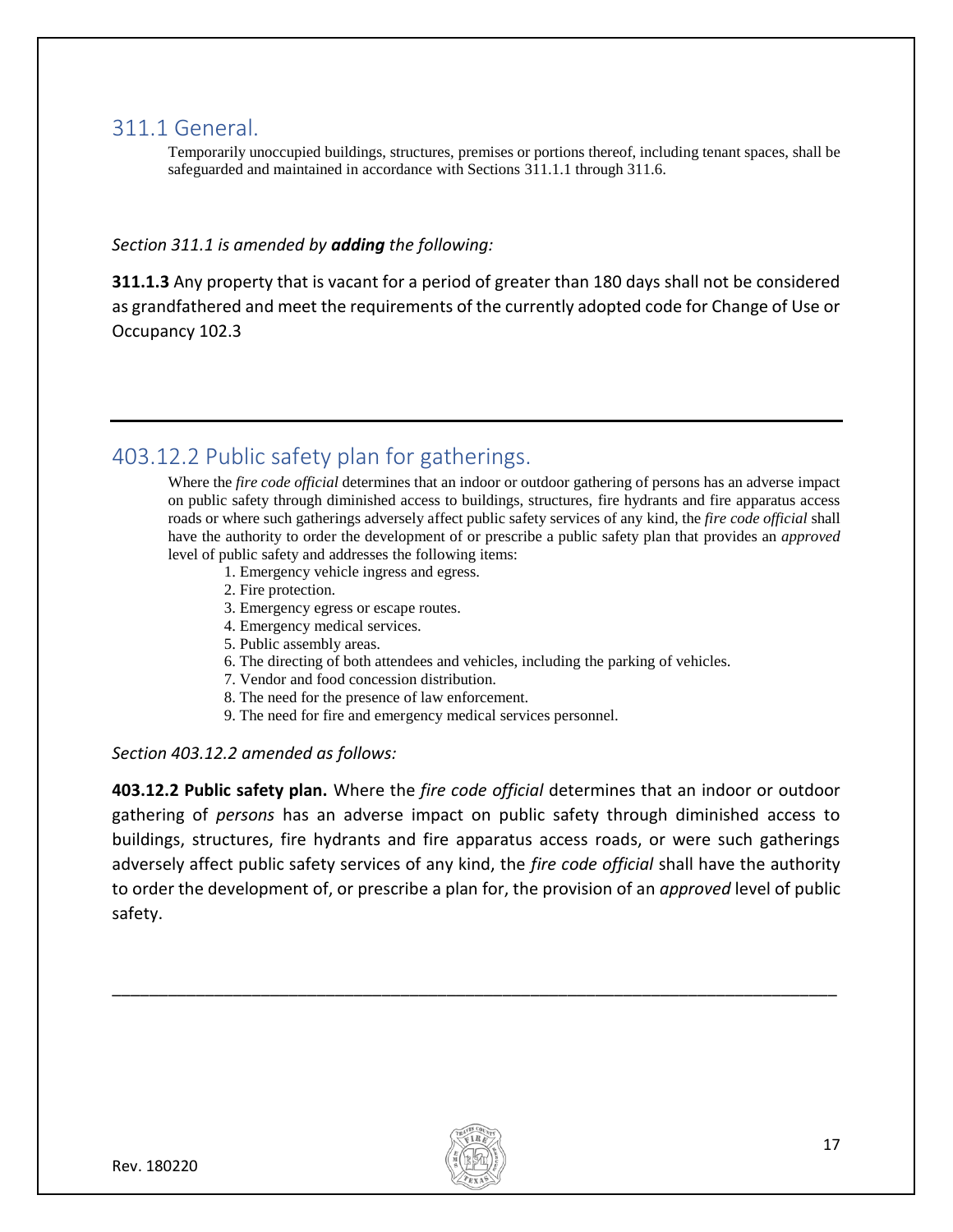## <span id="page-16-0"></span>311.1 General.

Temporarily unoccupied buildings, structures, premises or portions thereof, including tenant spaces, shall be safeguarded and maintained in accordance with Sections 311.1.1 through 311.6.

#### *Section 311.1 is amended by adding the following:*

**311.1.3** Any property that is vacant for a period of greater than 180 days shall not be considered as grandfathered and meet the requirements of the currently adopted code for Change of Use or Occupancy 102.3

## <span id="page-16-1"></span>403.12.2 Public safety plan for gatherings.

Where the *fire code official* determines that an indoor or outdoor gathering of persons has an adverse impact on public safety through diminished access to buildings, structures, fire hydrants and fire apparatus access roads or where such gatherings adversely affect public safety services of any kind, the *fire code official* shall have the authority to order the development of or prescribe a public safety plan that provides an *approved*  level of public safety and addresses the following items:

- 1. Emergency vehicle ingress and egress.
- 2. Fire protection.
- 3. Emergency egress or escape routes.
- 4. Emergency medical services.
- 5. Public assembly areas.
- 6. The directing of both attendees and vehicles, including the parking of vehicles.
- 7. Vendor and food concession distribution.
- 8. The need for the presence of law enforcement.
- 9. The need for fire and emergency medical services personnel.

#### *Section 403.12.2 amended as follows:*

**403.12.2 Public safety plan.** Where the *fire code official* determines that an indoor or outdoor gathering of *persons* has an adverse impact on public safety through diminished access to buildings, structures, fire hydrants and fire apparatus access roads, or were such gatherings adversely affect public safety services of any kind, the *fire code official* shall have the authority to order the development of, or prescribe a plan for, the provision of an *approved* level of public safety.

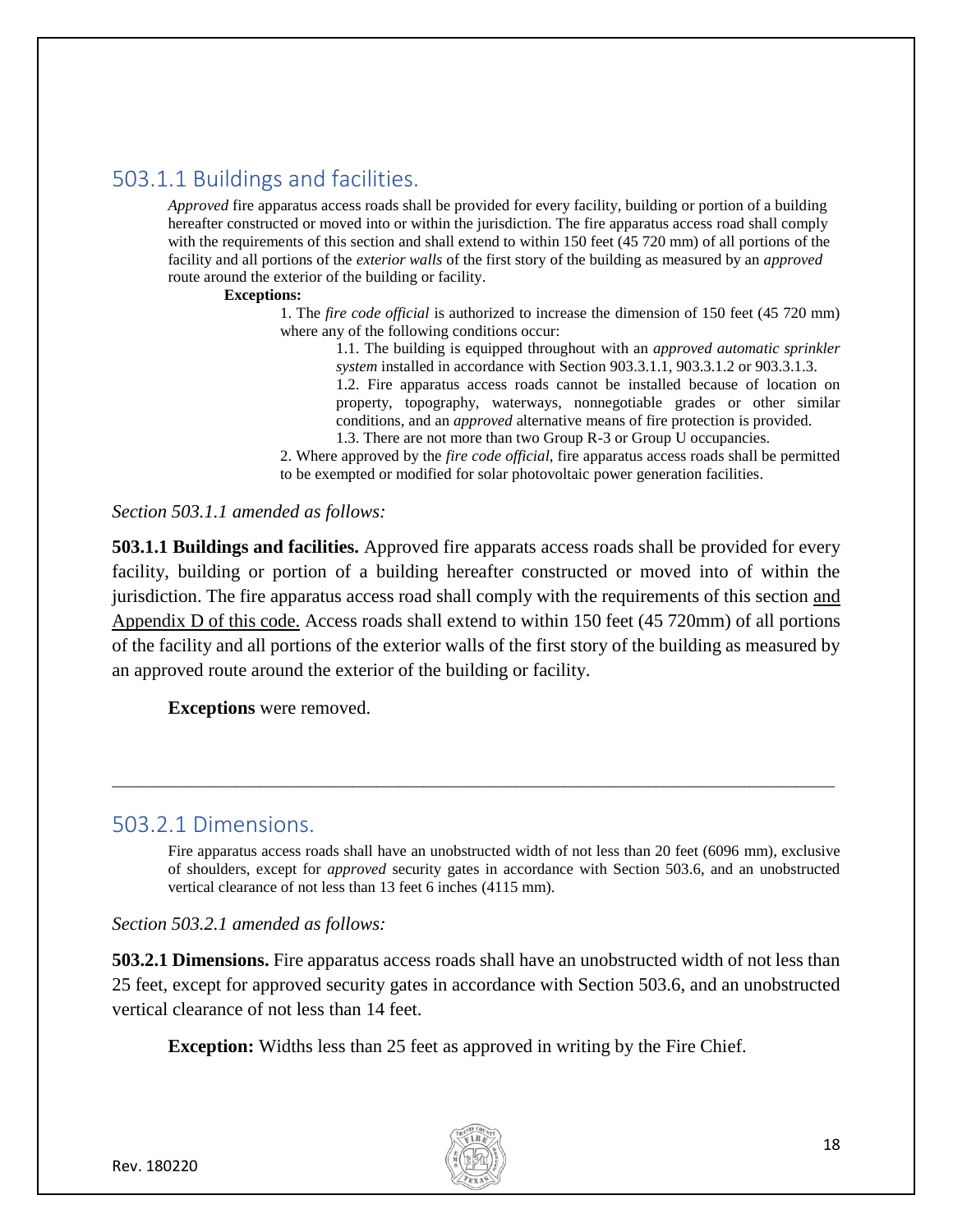## <span id="page-17-0"></span>503.1.1 Buildings and facilities.

*Approved* fire apparatus access roads shall be provided for every facility, building or portion of a building hereafter constructed or moved into or within the jurisdiction. The fire apparatus access road shall comply with the requirements of this section and shall extend to within 150 feet (45 720 mm) of all portions of the facility and all portions of the *exterior walls* of the first story of the building as measured by an *approved* route around the exterior of the building or facility.

#### **Exceptions:**

1. The *fire code official* is authorized to increase the dimension of 150 feet (45 720 mm) where any of the following conditions occur:

> 1.1. The building is equipped throughout with an *approved automatic sprinkler system* installed in accordance with Section 903.3.1.1, 903.3.1.2 or 903.3.1.3. 1.2. Fire apparatus access roads cannot be installed because of location on property, topography, waterways, nonnegotiable grades or other similar conditions, and an *approved* alternative means of fire protection is provided. 1.3. There are not more than two Group R-3 or Group U occupancies.

2. Where approved by the *fire code official*, fire apparatus access roads shall be permitted to be exempted or modified for solar photovoltaic power generation facilities.

*Section 503.1.1 amended as follows:*

**503.1.1 Buildings and facilities.** Approved fire apparats access roads shall be provided for every facility, building or portion of a building hereafter constructed or moved into of within the jurisdiction. The fire apparatus access road shall comply with the requirements of this section and Appendix D of this code. Access roads shall extend to within 150 feet (45 720mm) of all portions of the facility and all portions of the exterior walls of the first story of the building as measured by an approved route around the exterior of the building or facility.

\_\_\_\_\_\_\_\_\_\_\_\_\_\_\_\_\_\_\_\_\_\_\_\_\_\_\_\_\_\_\_\_\_\_\_\_\_\_\_\_\_\_\_\_\_\_\_\_\_\_\_\_\_\_\_\_\_\_\_\_\_\_\_\_\_\_\_\_\_\_\_\_\_\_\_\_\_\_\_\_\_\_\_\_\_\_\_\_\_\_\_\_\_

**Exceptions** were removed.

#### <span id="page-17-1"></span>503.2.1 Dimensions.

Fire apparatus access roads shall have an unobstructed width of not less than 20 feet (6096 mm), exclusive of shoulders, except for *approved* security gates in accordance with Section 503.6, and an unobstructed vertical clearance of not less than 13 feet 6 inches (4115 mm).

*Section 503.2.1 amended as follows:*

**503.2.1 Dimensions.** Fire apparatus access roads shall have an unobstructed width of not less than 25 feet, except for approved security gates in accordance with Section 503.6, and an unobstructed vertical clearance of not less than 14 feet.

**Exception:** Widths less than 25 feet as approved in writing by the Fire Chief.

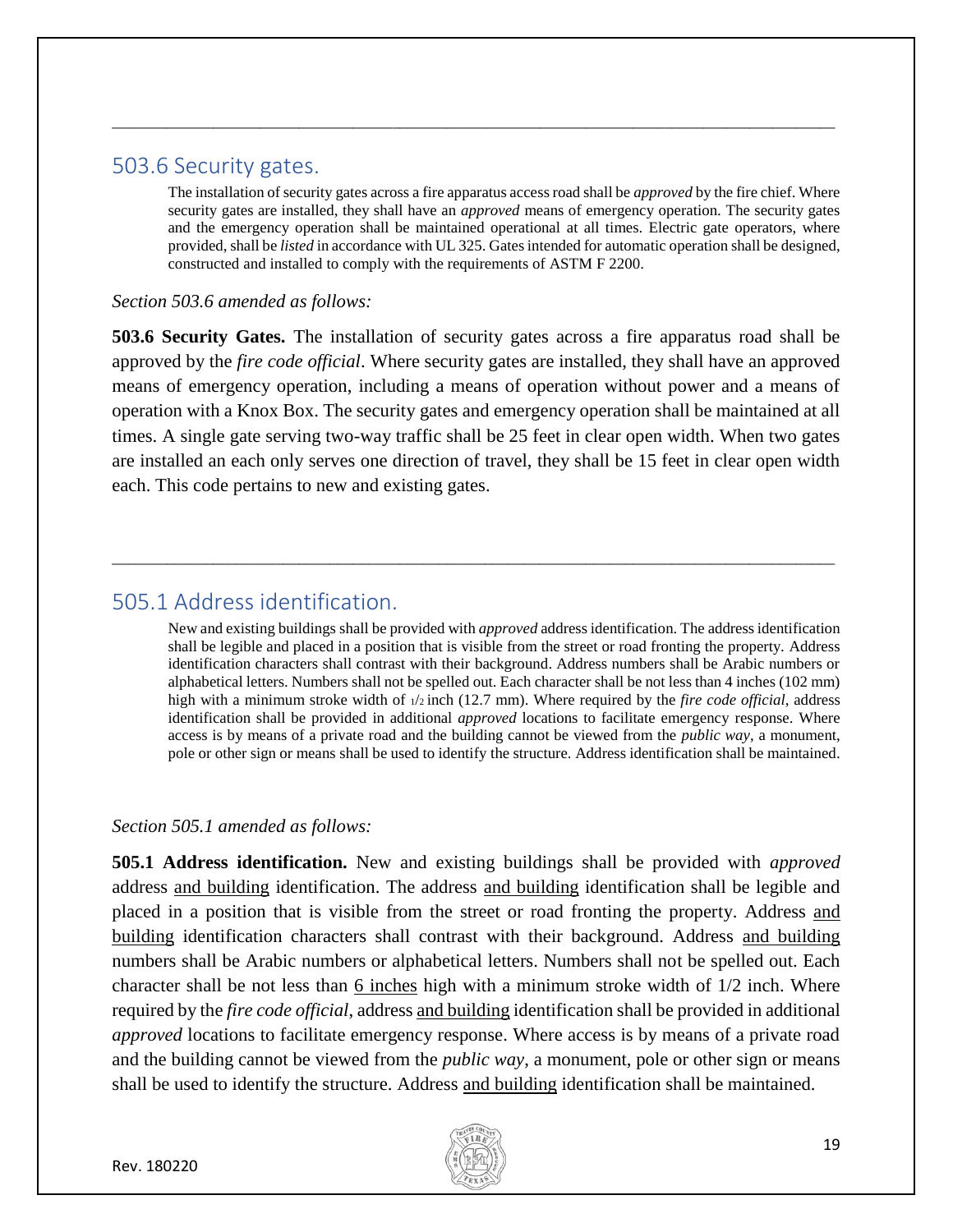## <span id="page-18-0"></span>503.6 Security gates.

The installation of security gates across a fire apparatus access road shall be *approved* by the fire chief. Where security gates are installed, they shall have an *approved* means of emergency operation. The security gates and the emergency operation shall be maintained operational at all times. Electric gate operators, where provided, shall be *listed* in accordance with UL 325. Gates intended for automatic operation shall be designed, constructed and installed to comply with the requirements of ASTM F 2200.

 $\overline{a_1}$  ,  $\overline{a_2}$  ,  $\overline{a_3}$  ,  $\overline{a_4}$  ,  $\overline{a_5}$  ,  $\overline{a_6}$  ,  $\overline{a_7}$  ,  $\overline{a_8}$  ,  $\overline{a_9}$  ,  $\overline{a_9}$  ,  $\overline{a_9}$  ,  $\overline{a_9}$  ,  $\overline{a_9}$  ,  $\overline{a_9}$  ,  $\overline{a_9}$  ,  $\overline{a_9}$  ,  $\overline{a_9}$  ,

#### *Section 503.6 amended as follows:*

**503.6 Security Gates.** The installation of security gates across a fire apparatus road shall be approved by the *fire code official*. Where security gates are installed, they shall have an approved means of emergency operation, including a means of operation without power and a means of operation with a Knox Box. The security gates and emergency operation shall be maintained at all times. A single gate serving two-way traffic shall be 25 feet in clear open width. When two gates are installed an each only serves one direction of travel, they shall be 15 feet in clear open width each. This code pertains to new and existing gates.

\_\_\_\_\_\_\_\_\_\_\_\_\_\_\_\_\_\_\_\_\_\_\_\_\_\_\_\_\_\_\_\_\_\_\_\_\_\_\_\_\_\_\_\_\_\_\_\_\_\_\_\_\_\_\_\_\_\_\_\_\_\_\_\_\_\_\_\_\_\_\_\_\_\_\_\_\_\_\_\_\_\_\_\_\_\_\_\_\_\_\_\_\_

## <span id="page-18-1"></span>505.1 Address identification.

New and existing buildings shall be provided with *approved* address identification. The address identification shall be legible and placed in a position that is visible from the street or road fronting the property. Address identification characters shall contrast with their background. Address numbers shall be Arabic numbers or alphabetical letters. Numbers shall not be spelled out. Each character shall be not less than 4 inches (102 mm) high with a minimum stroke width of 1/2 inch (12.7 mm). Where required by the *fire code official*, address identification shall be provided in additional *approved* locations to facilitate emergency response. Where access is by means of a private road and the building cannot be viewed from the *public way*, a monument, pole or other sign or means shall be used to identify the structure. Address identification shall be maintained.

#### *Section 505.1 amended as follows:*

**505.1 Address identification.** New and existing buildings shall be provided with *approved* address and building identification. The address and building identification shall be legible and placed in a position that is visible from the street or road fronting the property. Address and building identification characters shall contrast with their background. Address and building numbers shall be Arabic numbers or alphabetical letters. Numbers shall not be spelled out. Each character shall be not less than 6 inches high with a minimum stroke width of 1/2 inch. Where required by the *fire code official*, address and building identification shall be provided in additional *approved* locations to facilitate emergency response. Where access is by means of a private road and the building cannot be viewed from the *public way*, a monument, pole or other sign or means shall be used to identify the structure. Address and building identification shall be maintained.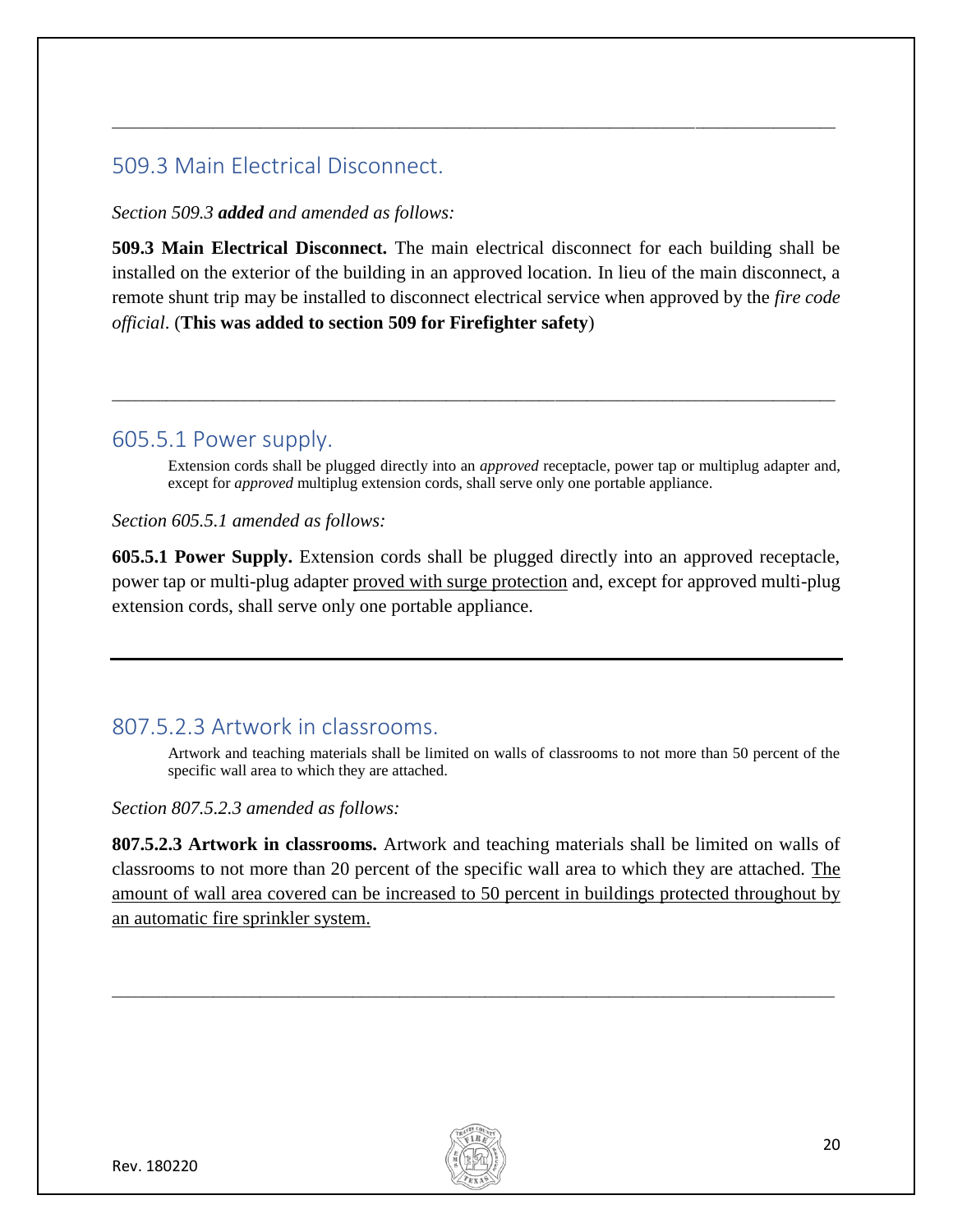## <span id="page-19-0"></span>509.3 Main Electrical Disconnect.

#### *Section 509.3 added and amended as follows:*

**509.3 Main Electrical Disconnect.** The main electrical disconnect for each building shall be installed on the exterior of the building in an approved location. In lieu of the main disconnect, a remote shunt trip may be installed to disconnect electrical service when approved by the *fire code official*. (**This was added to section 509 for Firefighter safety**)

\_\_\_\_\_\_\_\_\_\_\_\_\_\_\_\_\_\_\_\_\_\_\_\_\_\_\_\_\_\_\_\_\_\_\_\_\_\_\_\_\_\_\_\_\_\_\_\_\_\_\_\_\_\_\_\_\_\_\_\_\_\_\_\_\_\_\_\_\_\_\_\_\_\_\_\_\_\_\_\_\_\_\_\_\_\_\_\_\_\_\_\_\_

\_\_\_\_\_\_\_\_\_\_\_\_\_\_\_\_\_\_\_\_\_\_\_\_\_\_\_\_\_\_\_\_\_\_\_\_\_\_\_\_\_\_\_\_\_\_\_\_\_\_\_\_\_\_\_\_\_\_\_\_\_\_\_\_\_\_\_\_\_\_\_\_\_\_\_\_\_\_\_\_\_\_\_\_\_\_\_\_\_\_\_\_\_

## <span id="page-19-1"></span>605.5.1 Power supply.

Extension cords shall be plugged directly into an *approved* receptacle, power tap or multiplug adapter and, except for *approved* multiplug extension cords, shall serve only one portable appliance.

*Section 605.5.1 amended as follows:*

**605.5.1 Power Supply.** Extension cords shall be plugged directly into an approved receptacle, power tap or multi-plug adapter proved with surge protection and, except for approved multi-plug extension cords, shall serve only one portable appliance.

## <span id="page-19-2"></span>807.5.2.3 Artwork in classrooms.

Artwork and teaching materials shall be limited on walls of classrooms to not more than 50 percent of the specific wall area to which they are attached.

*Section 807.5.2.3 amended as follows:*

**807.5.2.3 Artwork in classrooms.** Artwork and teaching materials shall be limited on walls of classrooms to not more than 20 percent of the specific wall area to which they are attached. The amount of wall area covered can be increased to 50 percent in buildings protected throughout by an automatic fire sprinkler system.

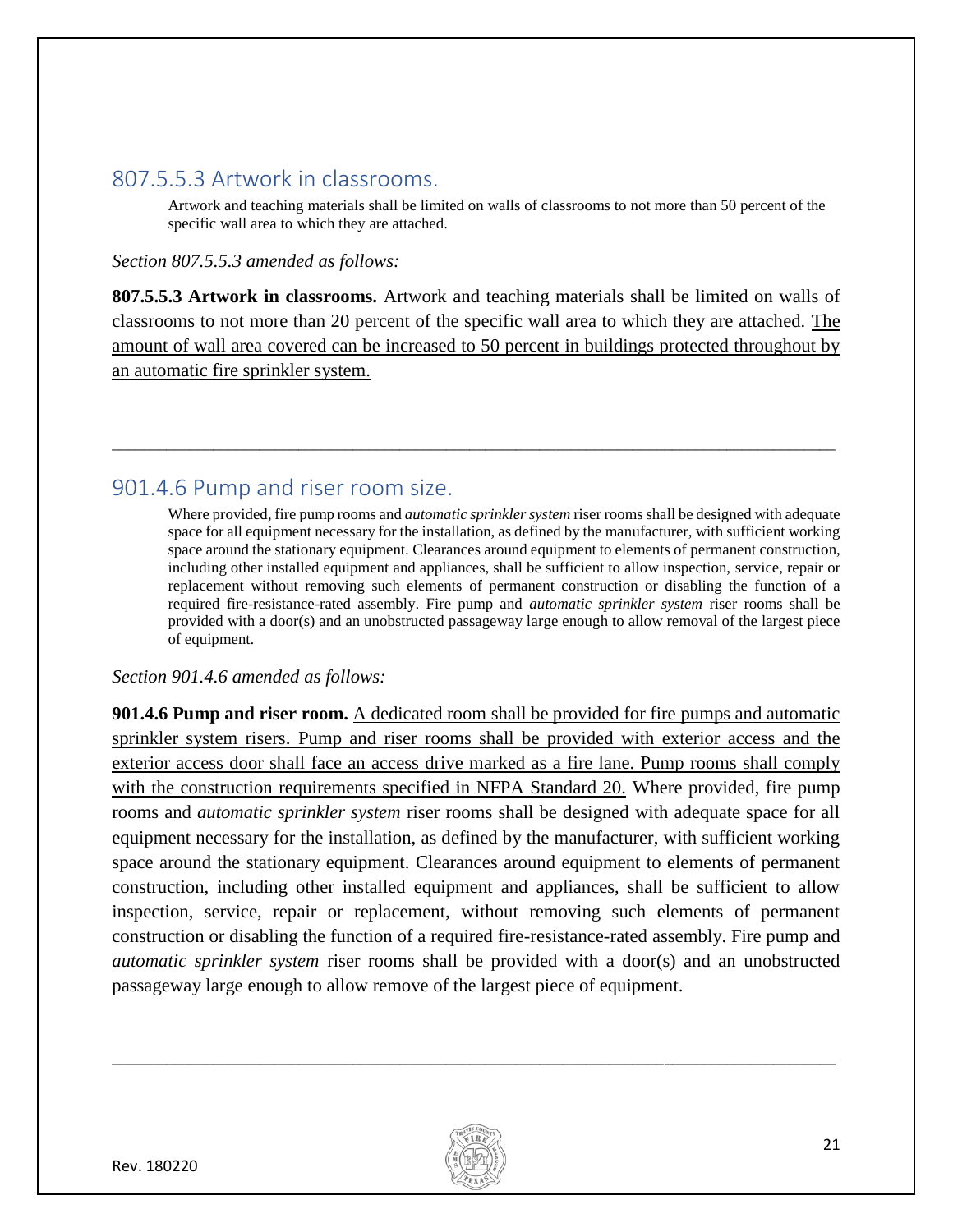## <span id="page-20-0"></span>807.5.5.3 Artwork in classrooms.

Artwork and teaching materials shall be limited on walls of classrooms to not more than 50 percent of the specific wall area to which they are attached.

#### *Section 807.5.5.3 amended as follows:*

**807.5.5.3 Artwork in classrooms.** Artwork and teaching materials shall be limited on walls of classrooms to not more than 20 percent of the specific wall area to which they are attached. The amount of wall area covered can be increased to 50 percent in buildings protected throughout by an automatic fire sprinkler system.

\_\_\_\_\_\_\_\_\_\_\_\_\_\_\_\_\_\_\_\_\_\_\_\_\_\_\_\_\_\_\_\_\_\_\_\_\_\_\_\_\_\_\_\_\_\_\_\_\_\_\_\_\_\_\_\_\_\_\_\_\_\_\_\_\_\_\_\_\_\_\_\_\_\_\_\_\_\_\_\_\_\_\_\_\_\_\_\_\_\_\_\_\_

## <span id="page-20-1"></span>901.4.6 Pump and riser room size.

Where provided, fire pump rooms and *automatic sprinkler system* riser rooms shall be designed with adequate space for all equipment necessary for the installation, as defined by the manufacturer, with sufficient working space around the stationary equipment. Clearances around equipment to elements of permanent construction, including other installed equipment and appliances, shall be sufficient to allow inspection, service, repair or replacement without removing such elements of permanent construction or disabling the function of a required fire-resistance-rated assembly. Fire pump and *automatic sprinkler system* riser rooms shall be provided with a door(s) and an unobstructed passageway large enough to allow removal of the largest piece of equipment.

#### *Section 901.4.6 amended as follows:*

**901.4.6 Pump and riser room.** A dedicated room shall be provided for fire pumps and automatic sprinkler system risers. Pump and riser rooms shall be provided with exterior access and the exterior access door shall face an access drive marked as a fire lane. Pump rooms shall comply with the construction requirements specified in NFPA Standard 20. Where provided, fire pump rooms and *automatic sprinkler system* riser rooms shall be designed with adequate space for all equipment necessary for the installation, as defined by the manufacturer, with sufficient working space around the stationary equipment. Clearances around equipment to elements of permanent construction, including other installed equipment and appliances, shall be sufficient to allow inspection, service, repair or replacement, without removing such elements of permanent construction or disabling the function of a required fire-resistance-rated assembly. Fire pump and *automatic sprinkler system* riser rooms shall be provided with a door(s) and an unobstructed passageway large enough to allow remove of the largest piece of equipment.

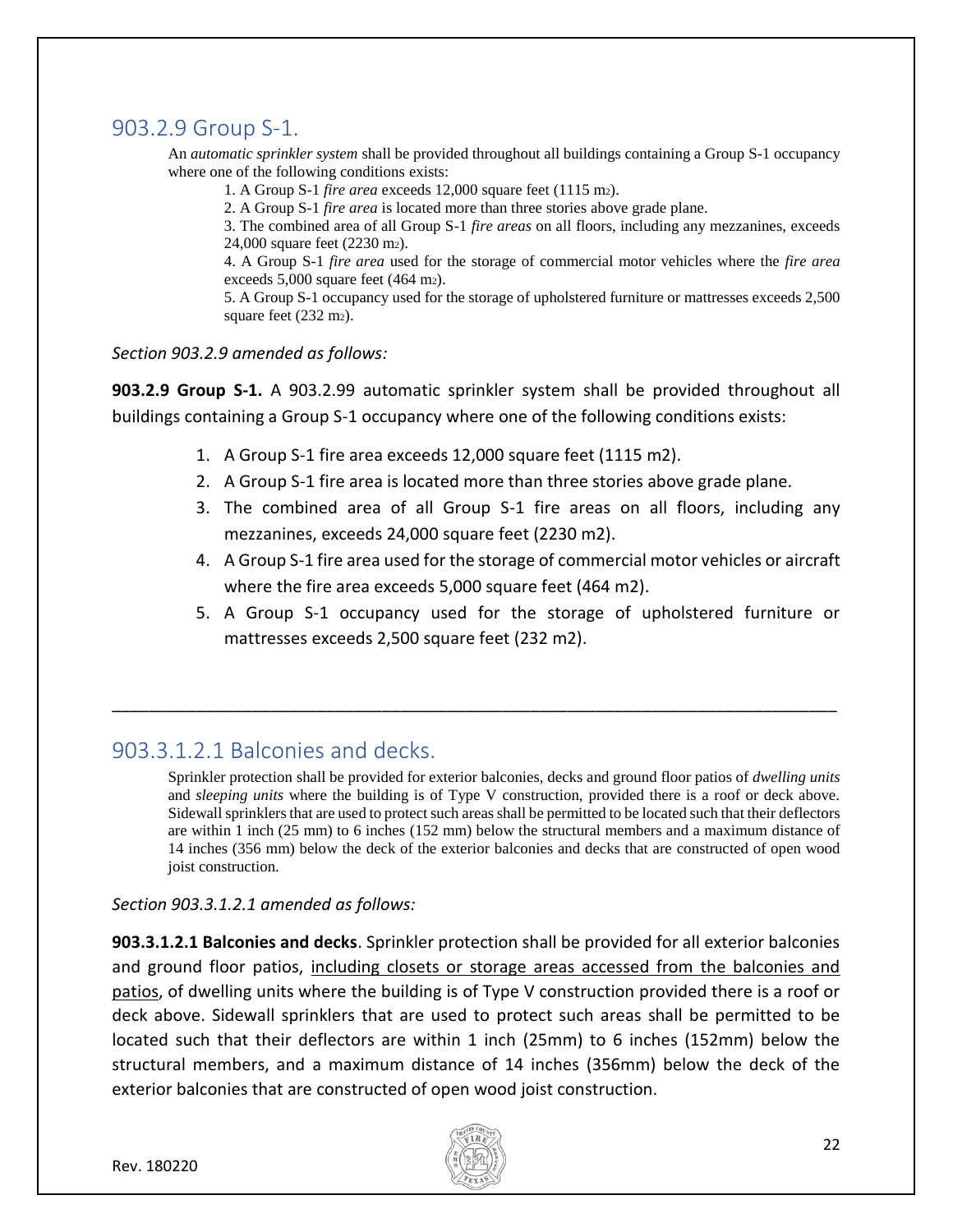## <span id="page-21-0"></span>903.2.9 Group S-1.

An *automatic sprinkler system* shall be provided throughout all buildings containing a Group S-1 occupancy where one of the following conditions exists:

1. A Group S-1 *fire area* exceeds 12,000 square feet (1115 m2).

2. A Group S-1 *fire area* is located more than three stories above grade plane.

3. The combined area of all Group S-1 *fire areas* on all floors, including any mezzanines, exceeds 24,000 square feet (2230 m2).

4. A Group S-1 *fire area* used for the storage of commercial motor vehicles where the *fire area* exceeds 5,000 square feet (464 m2).

5. A Group S-1 occupancy used for the storage of upholstered furniture or mattresses exceeds 2,500 square feet (232 m<sub>2</sub>).

*Section 903.2.9 amended as follows:*

**903.2.9 Group S-1.** A 903.2.99 automatic sprinkler system shall be provided throughout all buildings containing a Group S-1 occupancy where one of the following conditions exists:

- 1. A Group S-1 fire area exceeds 12,000 square feet (1115 m2).
- 2. A Group S-1 fire area is located more than three stories above grade plane.
- 3. The combined area of all Group S-1 fire areas on all floors, including any mezzanines, exceeds 24,000 square feet (2230 m2).
- 4. A Group S-1 fire area used for the storage of commercial motor vehicles or aircraft where the fire area exceeds 5,000 square feet (464 m2).
- 5. A Group S-1 occupancy used for the storage of upholstered furniture or mattresses exceeds 2,500 square feet (232 m2).

## <span id="page-21-1"></span>903.3.1.2.1 Balconies and decks.

Sprinkler protection shall be provided for exterior balconies, decks and ground floor patios of *dwelling units*  and *sleeping units* where the building is of Type V construction, provided there is a roof or deck above. Sidewall sprinklers that are used to protect such areas shall be permitted to be located such that their deflectors are within 1 inch (25 mm) to 6 inches (152 mm) below the structural members and a maximum distance of 14 inches (356 mm) below the deck of the exterior balconies and decks that are constructed of open wood joist construction.

\_\_\_\_\_\_\_\_\_\_\_\_\_\_\_\_\_\_\_\_\_\_\_\_\_\_\_\_\_\_\_\_\_\_\_\_\_\_\_\_\_\_\_\_\_\_\_\_\_\_\_\_\_\_\_\_\_\_\_\_\_\_\_\_\_\_\_\_\_\_\_\_\_\_\_\_\_\_

#### *Section 903.3.1.2.1 amended as follows:*

**903.3.1.2.1 Balconies and decks**. Sprinkler protection shall be provided for all exterior balconies and ground floor patios, including closets or storage areas accessed from the balconies and patios, of dwelling units where the building is of Type V construction provided there is a roof or deck above. Sidewall sprinklers that are used to protect such areas shall be permitted to be located such that their deflectors are within 1 inch (25mm) to 6 inches (152mm) below the structural members, and a maximum distance of 14 inches (356mm) below the deck of the exterior balconies that are constructed of open wood joist construction.

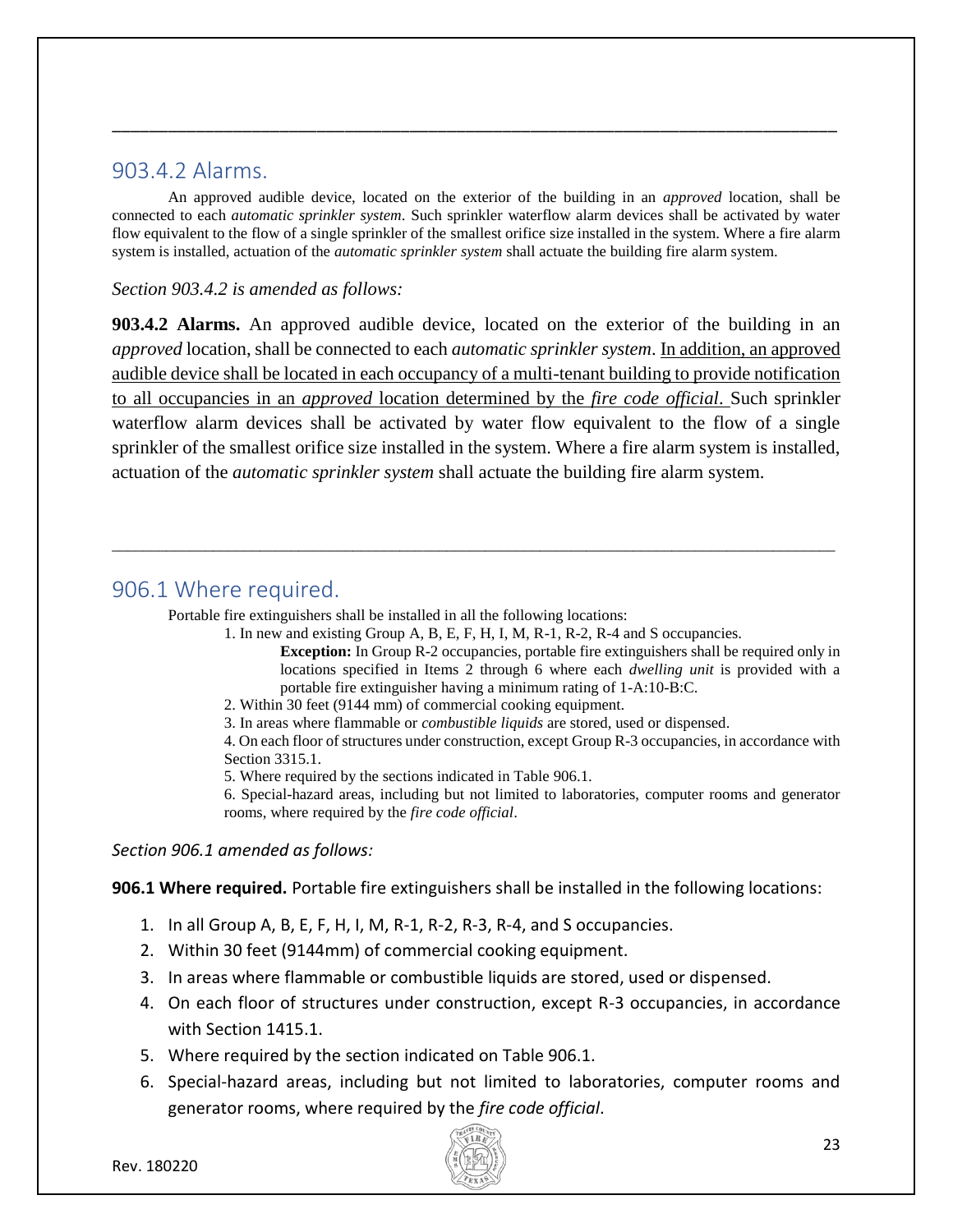## <span id="page-22-0"></span>903.4.2 Alarms.

An approved audible device, located on the exterior of the building in an *approved* location, shall be connected to each *automatic sprinkler system*. Such sprinkler waterflow alarm devices shall be activated by water flow equivalent to the flow of a single sprinkler of the smallest orifice size installed in the system. Where a fire alarm system is installed, actuation of the *automatic sprinkler system* shall actuate the building fire alarm system.

\_\_\_\_\_\_\_\_\_\_\_\_\_\_\_\_\_\_\_\_\_\_\_\_\_\_\_\_\_\_\_\_\_\_\_\_\_\_\_\_\_\_\_\_\_\_\_\_\_\_\_\_\_\_\_\_\_\_\_\_\_\_\_\_\_\_\_\_\_\_\_\_\_\_\_\_\_\_

#### *Section 903.4.2 is amended as follows:*

**903.4.2 Alarms.** An approved audible device, located on the exterior of the building in an *approved* location, shall be connected to each *automatic sprinkler system*. In addition, an approved audible device shall be located in each occupancy of a multi-tenant building to provide notification to all occupancies in an *approved* location determined by the *fire code official*. Such sprinkler waterflow alarm devices shall be activated by water flow equivalent to the flow of a single sprinkler of the smallest orifice size installed in the system. Where a fire alarm system is installed, actuation of the *automatic sprinkler system* shall actuate the building fire alarm system.

## <span id="page-22-1"></span>906.1 Where required.

Portable fire extinguishers shall be installed in all the following locations:

1. In new and existing Group A, B, E, F, H, I, M, R-1, R-2, R-4 and S occupancies.

 $\overline{a_1}$  ,  $\overline{a_2}$  ,  $\overline{a_3}$  ,  $\overline{a_4}$  ,  $\overline{a_5}$  ,  $\overline{a_6}$  ,  $\overline{a_7}$  ,  $\overline{a_8}$  ,  $\overline{a_9}$  ,  $\overline{a_9}$  ,  $\overline{a_9}$  ,  $\overline{a_9}$  ,  $\overline{a_9}$  ,  $\overline{a_9}$  ,  $\overline{a_9}$  ,  $\overline{a_9}$  ,  $\overline{a_9}$  ,

- **Exception:** In Group R-2 occupancies, portable fire extinguishers shall be required only in locations specified in Items 2 through 6 where each *dwelling unit* is provided with a portable fire extinguisher having a minimum rating of 1-A:10-B:C.
- 2. Within 30 feet (9144 mm) of commercial cooking equipment.
- 3. In areas where flammable or *combustible liquids* are stored, used or dispensed.

4. On each floor of structures under construction, except Group R-3 occupancies, in accordance with Section 3315.1.

5. Where required by the sections indicated in Table 906.1.

6. Special-hazard areas, including but not limited to laboratories, computer rooms and generator rooms, where required by the *fire code official*.

*Section 906.1 amended as follows:*

**906.1 Where required.** Portable fire extinguishers shall be installed in the following locations:

- 1. In all Group A, B, E, F, H, I, M, R-1, R-2, R-3, R-4, and S occupancies.
- 2. Within 30 feet (9144mm) of commercial cooking equipment.
- 3. In areas where flammable or combustible liquids are stored, used or dispensed.
- 4. On each floor of structures under construction, except R-3 occupancies, in accordance with Section 1415.1.
- 5. Where required by the section indicated on Table 906.1.
- 6. Special-hazard areas, including but not limited to laboratories, computer rooms and generator rooms, where required by the *fire code official*.

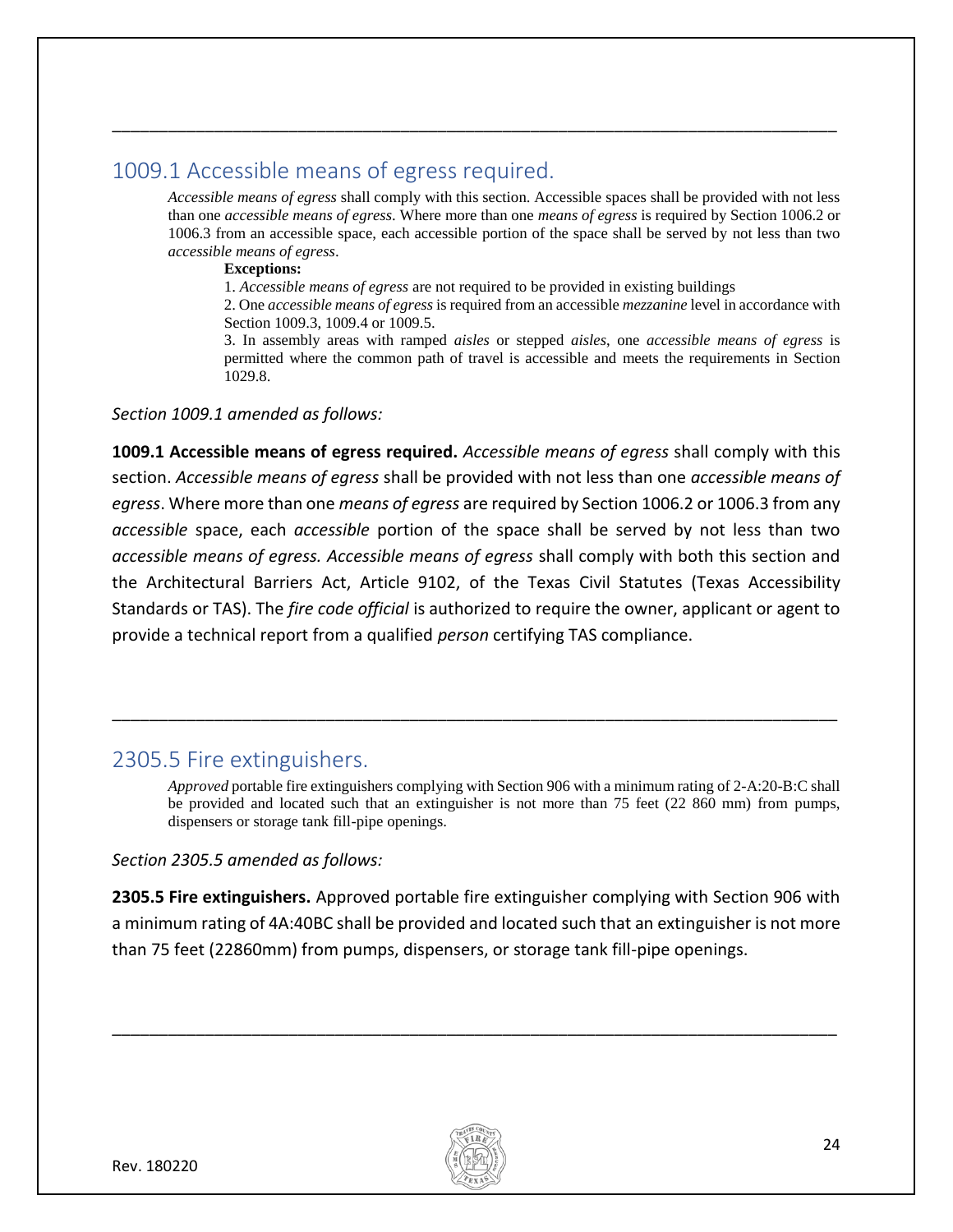## <span id="page-23-0"></span>1009.1 Accessible means of egress required.

*Accessible means of egress* shall comply with this section. Accessible spaces shall be provided with not less than one *accessible means of egress*. Where more than one *means of egress* is required by Section 1006.2 or 1006.3 from an accessible space, each accessible portion of the space shall be served by not less than two *accessible means of egress*.

#### **Exceptions:**

1. *Accessible means of egress* are not required to be provided in existing buildings

\_\_\_\_\_\_\_\_\_\_\_\_\_\_\_\_\_\_\_\_\_\_\_\_\_\_\_\_\_\_\_\_\_\_\_\_\_\_\_\_\_\_\_\_\_\_\_\_\_\_\_\_\_\_\_\_\_\_\_\_\_\_\_\_\_\_\_\_\_\_\_\_\_\_\_\_\_\_

2. One *accessible means of egress* is required from an accessible *mezzanine* level in accordance with Section 1009.3, 1009.4 or 1009.5.

3. In assembly areas with ramped *aisles* or stepped *aisles*, one *accessible means of egress* is permitted where the common path of travel is accessible and meets the requirements in Section 1029.8.

#### *Section 1009.1 amended as follows:*

**1009.1 Accessible means of egress required.** *Accessible means of egress* shall comply with this section. *Accessible means of egress* shall be provided with not less than one *accessible means of egress*. Where more than one *means of egress* are required by Section 1006.2 or 1006.3 from any *accessible* space, each *accessible* portion of the space shall be served by not less than two *accessible means of egress. Accessible means of egress* shall comply with both this section and the Architectural Barriers Act, Article 9102, of the Texas Civil Statutes (Texas Accessibility Standards or TAS). The *fire code official* is authorized to require the owner, applicant or agent to provide a technical report from a qualified *person* certifying TAS compliance.

\_\_\_\_\_\_\_\_\_\_\_\_\_\_\_\_\_\_\_\_\_\_\_\_\_\_\_\_\_\_\_\_\_\_\_\_\_\_\_\_\_\_\_\_\_\_\_\_\_\_\_\_\_\_\_\_\_\_\_\_\_\_\_\_\_\_\_\_\_\_\_\_\_\_\_\_\_\_

## <span id="page-23-1"></span>2305.5 Fire extinguishers.

*Approved* portable fire extinguishers complying with Section 906 with a minimum rating of 2-A:20-B:C shall be provided and located such that an extinguisher is not more than 75 feet (22 860 mm) from pumps, dispensers or storage tank fill-pipe openings.

*Section 2305.5 amended as follows:*

**2305.5 Fire extinguishers.** Approved portable fire extinguisher complying with Section 906 with a minimum rating of 4A:40BC shall be provided and located such that an extinguisher is not more than 75 feet (22860mm) from pumps, dispensers, or storage tank fill-pipe openings.

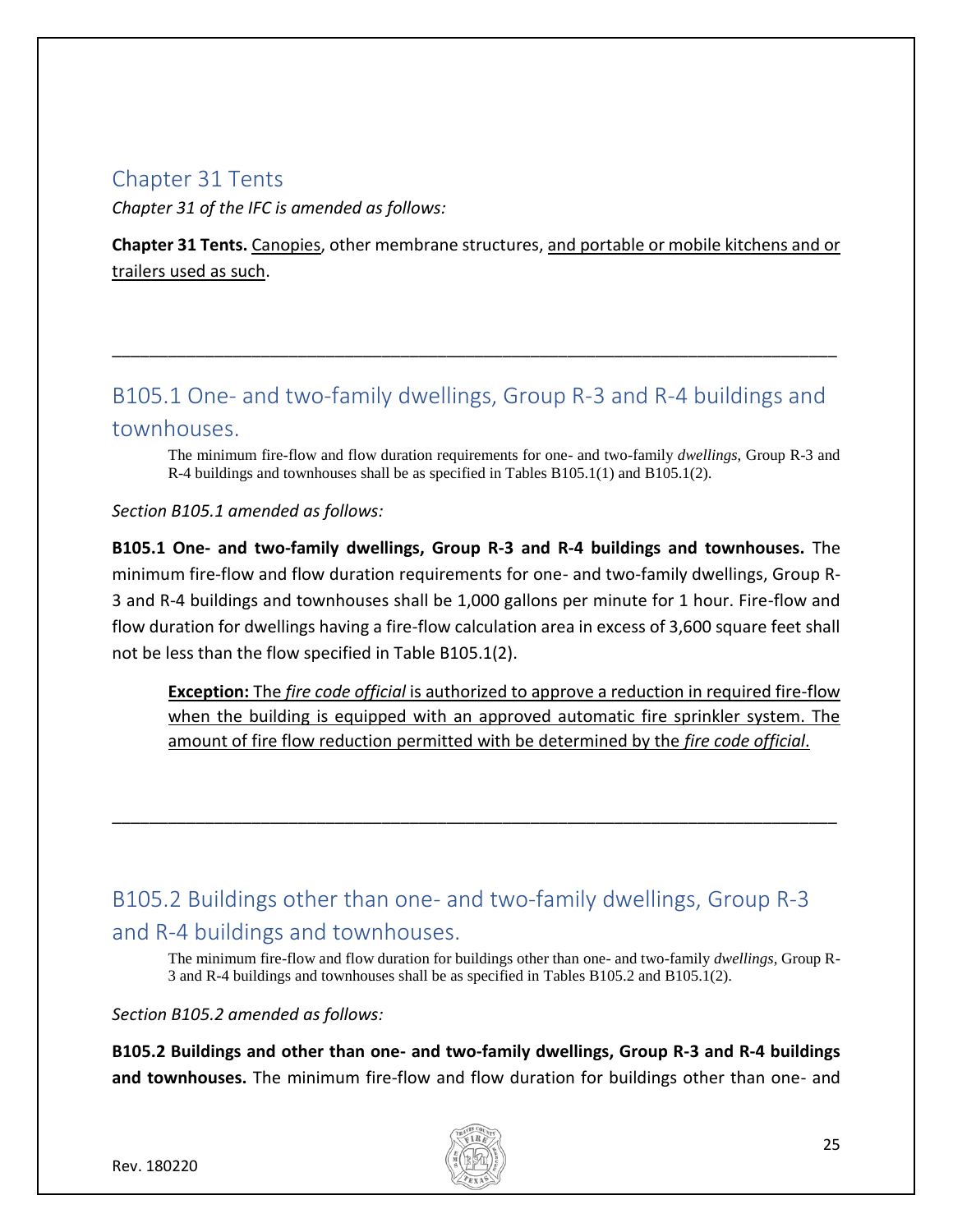## <span id="page-24-0"></span>Chapter 31 Tents

*Chapter 31 of the IFC is amended as follows:*

**Chapter 31 Tents.** Canopies, other membrane structures, and portable or mobile kitchens and or trailers used as such.

## <span id="page-24-1"></span>B105.1 One- and two-family dwellings, Group R-3 and R-4 buildings and townhouses.

\_\_\_\_\_\_\_\_\_\_\_\_\_\_\_\_\_\_\_\_\_\_\_\_\_\_\_\_\_\_\_\_\_\_\_\_\_\_\_\_\_\_\_\_\_\_\_\_\_\_\_\_\_\_\_\_\_\_\_\_\_\_\_\_\_\_\_\_\_\_\_\_\_\_\_\_\_\_

The minimum fire-flow and flow duration requirements for one- and two-family *dwellings*, Group R-3 and R-4 buildings and townhouses shall be as specified in Tables B105.1(1) and B105.1(2).

*Section B105.1 amended as follows:*

**B105.1 One- and two-family dwellings, Group R-3 and R-4 buildings and townhouses.** The minimum fire-flow and flow duration requirements for one- and two-family dwellings, Group R-3 and R-4 buildings and townhouses shall be 1,000 gallons per minute for 1 hour. Fire-flow and flow duration for dwellings having a fire-flow calculation area in excess of 3,600 square feet shall not be less than the flow specified in Table B105.1(2).

**Exception:** The *fire code official* is authorized to approve a reduction in required fire-flow when the building is equipped with an approved automatic fire sprinkler system. The amount of fire flow reduction permitted with be determined by the *fire code official*.

# <span id="page-24-2"></span>B105.2 Buildings other than one- and two-family dwellings, Group R-3 and R-4 buildings and townhouses.

\_\_\_\_\_\_\_\_\_\_\_\_\_\_\_\_\_\_\_\_\_\_\_\_\_\_\_\_\_\_\_\_\_\_\_\_\_\_\_\_\_\_\_\_\_\_\_\_\_\_\_\_\_\_\_\_\_\_\_\_\_\_\_\_\_\_\_\_\_\_\_\_\_\_\_\_\_\_

The minimum fire-flow and flow duration for buildings other than one- and two-family *dwellings*, Group R-3 and R-4 buildings and townhouses shall be as specified in Tables B105.2 and B105.1(2).

*Section B105.2 amended as follows:*

**B105.2 Buildings and other than one- and two-family dwellings, Group R-3 and R-4 buildings and townhouses.** The minimum fire-flow and flow duration for buildings other than one- and

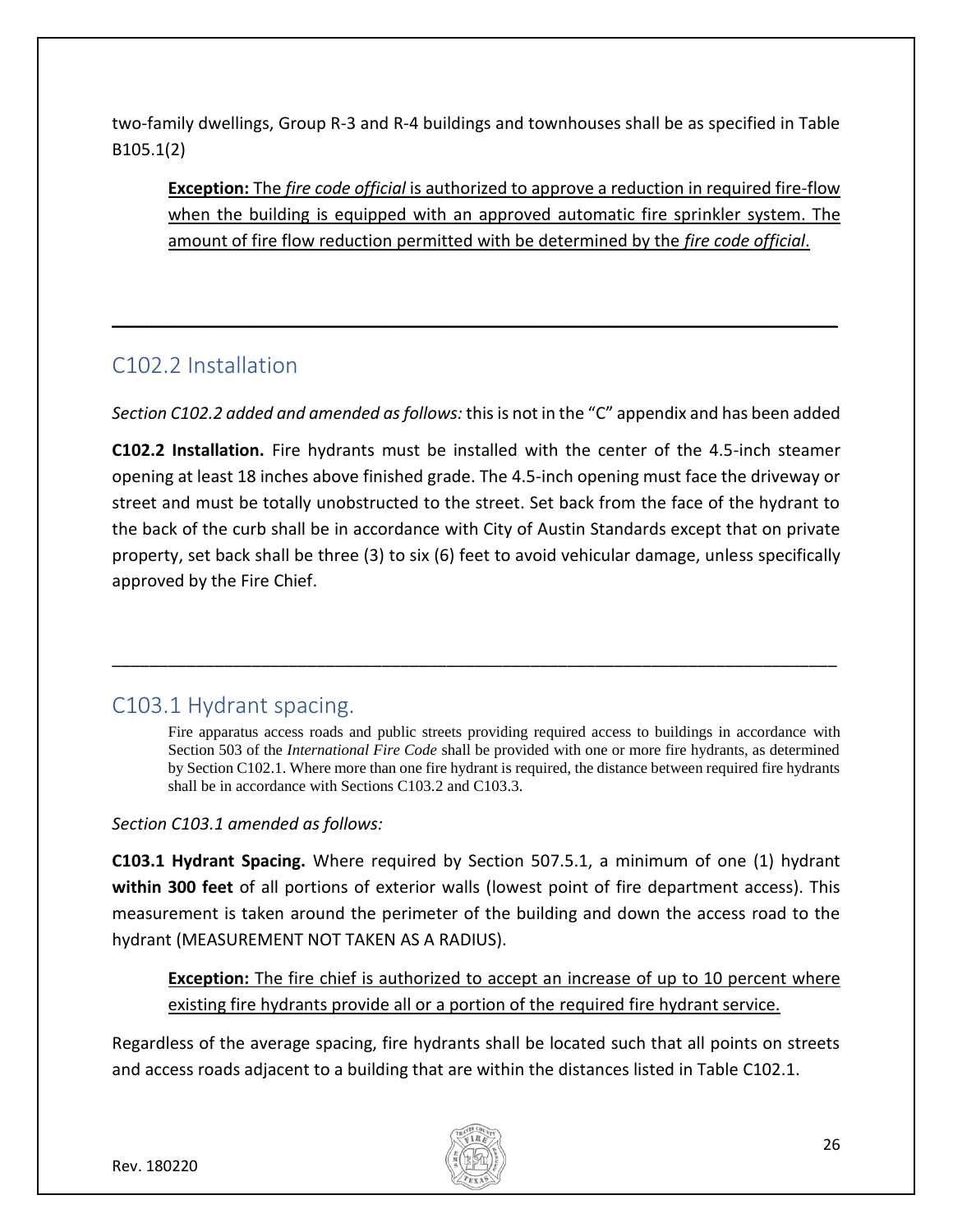two-family dwellings, Group R-3 and R-4 buildings and townhouses shall be as specified in Table B105.1(2)

**Exception:** The *fire code official* is authorized to approve a reduction in required fire-flow when the building is equipped with an approved automatic fire sprinkler system. The amount of fire flow reduction permitted with be determined by the *fire code official*.

# <span id="page-25-0"></span>C102.2 Installation

*Section C102.2 added and amended as follows:* this is not in the "C" appendix and has been added

\_\_\_\_\_\_\_\_\_\_\_\_\_\_\_\_\_\_\_\_\_\_\_\_\_\_\_\_\_\_\_\_\_\_\_\_\_\_\_\_\_\_\_\_\_\_\_\_\_\_\_\_\_\_\_\_\_\_\_\_\_\_\_\_\_\_\_\_\_\_\_\_\_\_\_\_\_\_

**C102.2 Installation.** Fire hydrants must be installed with the center of the 4.5-inch steamer opening at least 18 inches above finished grade. The 4.5-inch opening must face the driveway or street and must be totally unobstructed to the street. Set back from the face of the hydrant to the back of the curb shall be in accordance with City of Austin Standards except that on private property, set back shall be three (3) to six (6) feet to avoid vehicular damage, unless specifically approved by the Fire Chief.

\_\_\_\_\_\_\_\_\_\_\_\_\_\_\_\_\_\_\_\_\_\_\_\_\_\_\_\_\_\_\_\_\_\_\_\_\_\_\_\_\_\_\_\_\_\_\_\_\_\_\_\_\_\_\_\_\_\_\_\_\_\_\_\_\_\_\_\_\_\_\_\_\_\_\_\_\_\_

## <span id="page-25-1"></span>C103.1 Hydrant spacing.

Fire apparatus access roads and public streets providing required access to buildings in accordance with Section 503 of the *International Fire Code* shall be provided with one or more fire hydrants, as determined by Section C102.1. Where more than one fire hydrant is required, the distance between required fire hydrants shall be in accordance with Sections C103.2 and C103.3.

*Section C103.1 amended as follows:*

**C103.1 Hydrant Spacing.** Where required by Section 507.5.1, a minimum of one (1) hydrant **within 300 feet** of all portions of exterior walls (lowest point of fire department access). This measurement is taken around the perimeter of the building and down the access road to the hydrant (MEASUREMENT NOT TAKEN AS A RADIUS).

**Exception:** The fire chief is authorized to accept an increase of up to 10 percent where existing fire hydrants provide all or a portion of the required fire hydrant service.

Regardless of the average spacing, fire hydrants shall be located such that all points on streets and access roads adjacent to a building that are within the distances listed in Table C102.1.

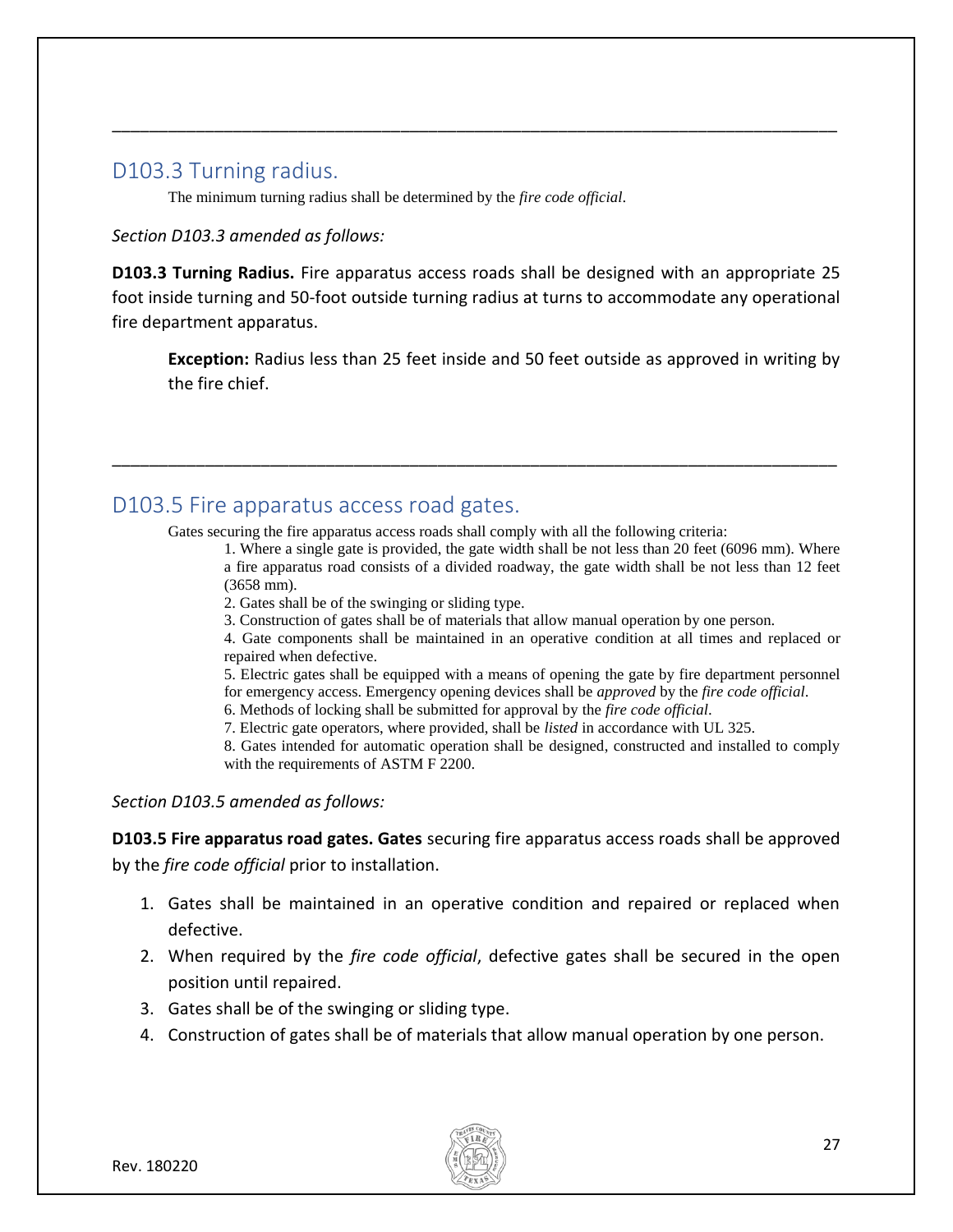## <span id="page-26-0"></span>D103.3 Turning radius.

The minimum turning radius shall be determined by the *fire code official*.

*Section D103.3 amended as follows:*

**D103.3 Turning Radius.** Fire apparatus access roads shall be designed with an appropriate 25 foot inside turning and 50-foot outside turning radius at turns to accommodate any operational fire department apparatus.

\_\_\_\_\_\_\_\_\_\_\_\_\_\_\_\_\_\_\_\_\_\_\_\_\_\_\_\_\_\_\_\_\_\_\_\_\_\_\_\_\_\_\_\_\_\_\_\_\_\_\_\_\_\_\_\_\_\_\_\_\_\_\_\_\_\_\_\_\_\_\_\_\_\_\_\_\_\_

\_\_\_\_\_\_\_\_\_\_\_\_\_\_\_\_\_\_\_\_\_\_\_\_\_\_\_\_\_\_\_\_\_\_\_\_\_\_\_\_\_\_\_\_\_\_\_\_\_\_\_\_\_\_\_\_\_\_\_\_\_\_\_\_\_\_\_\_\_\_\_\_\_\_\_\_\_\_

**Exception:** Radius less than 25 feet inside and 50 feet outside as approved in writing by the fire chief.

## <span id="page-26-1"></span>D103.5 Fire apparatus access road gates.

Gates securing the fire apparatus access roads shall comply with all the following criteria:

1. Where a single gate is provided, the gate width shall be not less than 20 feet (6096 mm). Where a fire apparatus road consists of a divided roadway, the gate width shall be not less than 12 feet (3658 mm).

2. Gates shall be of the swinging or sliding type.

3. Construction of gates shall be of materials that allow manual operation by one person.

4. Gate components shall be maintained in an operative condition at all times and replaced or repaired when defective.

5. Electric gates shall be equipped with a means of opening the gate by fire department personnel for emergency access. Emergency opening devices shall be *approved* by the *fire code official*.

6. Methods of locking shall be submitted for approval by the *fire code official*.

7. Electric gate operators, where provided, shall be *listed* in accordance with UL 325.

8. Gates intended for automatic operation shall be designed, constructed and installed to comply with the requirements of ASTM F 2200.

*Section D103.5 amended as follows:*

**D103.5 Fire apparatus road gates. Gates** securing fire apparatus access roads shall be approved by the *fire code official* prior to installation.

- 1. Gates shall be maintained in an operative condition and repaired or replaced when defective.
- 2. When required by the *fire code official*, defective gates shall be secured in the open position until repaired.
- 3. Gates shall be of the swinging or sliding type.
- 4. Construction of gates shall be of materials that allow manual operation by one person.

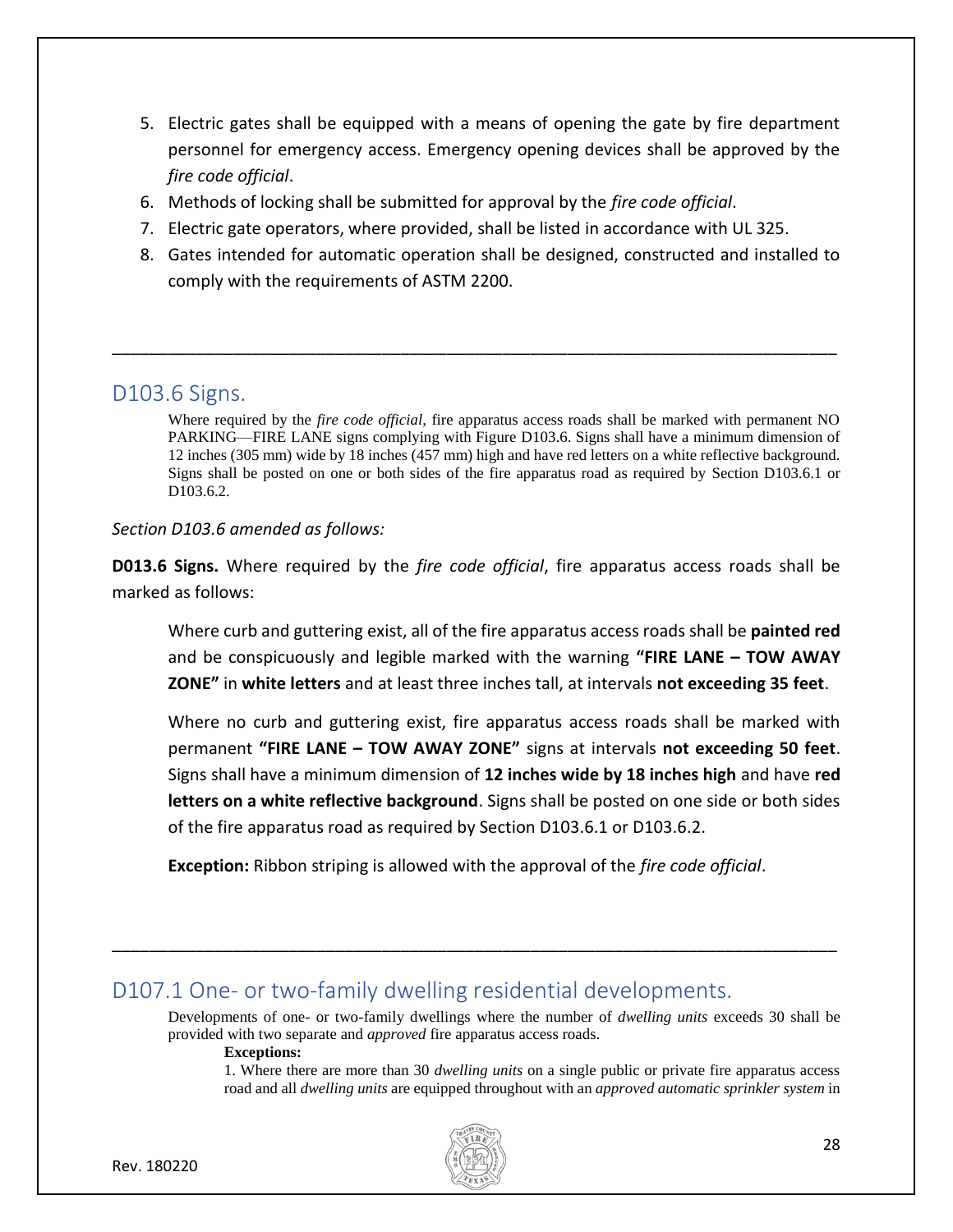- 5. Electric gates shall be equipped with a means of opening the gate by fire department personnel for emergency access. Emergency opening devices shall be approved by the *fire code official*.
- 6. Methods of locking shall be submitted for approval by the *fire code official*.
- 7. Electric gate operators, where provided, shall be listed in accordance with UL 325.
- 8. Gates intended for automatic operation shall be designed, constructed and installed to comply with the requirements of ASTM 2200.

\_\_\_\_\_\_\_\_\_\_\_\_\_\_\_\_\_\_\_\_\_\_\_\_\_\_\_\_\_\_\_\_\_\_\_\_\_\_\_\_\_\_\_\_\_\_\_\_\_\_\_\_\_\_\_\_\_\_\_\_\_\_\_\_\_\_\_\_\_\_\_\_\_\_\_\_\_\_

## <span id="page-27-0"></span>D103.6 Signs.

Where required by the *fire code official*, fire apparatus access roads shall be marked with permanent NO PARKING—FIRE LANE signs complying with Figure D103.6. Signs shall have a minimum dimension of 12 inches (305 mm) wide by 18 inches (457 mm) high and have red letters on a white reflective background. Signs shall be posted on one or both sides of the fire apparatus road as required by Section D103.6.1 or D<sub>103.6.2</sub>.

#### *Section D103.6 amended as follows:*

**D013.6 Signs.** Where required by the *fire code official*, fire apparatus access roads shall be marked as follows:

Where curb and guttering exist, all of the fire apparatus access roads shall be **painted red** and be conspicuously and legible marked with the warning **"FIRE LANE – TOW AWAY ZONE"** in **white letters** and at least three inches tall, at intervals **not exceeding 35 feet**.

Where no curb and guttering exist, fire apparatus access roads shall be marked with permanent **"FIRE LANE – TOW AWAY ZONE"** signs at intervals **not exceeding 50 feet**. Signs shall have a minimum dimension of **12 inches wide by 18 inches high** and have **red letters on a white reflective background**. Signs shall be posted on one side or both sides of the fire apparatus road as required by Section D103.6.1 or D103.6.2.

**Exception:** Ribbon striping is allowed with the approval of the *fire code official*.

\_\_\_\_\_\_\_\_\_\_\_\_\_\_\_\_\_\_\_\_\_\_\_\_\_\_\_\_\_\_\_\_\_\_\_\_\_\_\_\_\_\_\_\_\_\_\_\_\_\_\_\_\_\_\_\_\_\_\_\_\_\_\_\_\_\_\_\_\_\_\_\_\_\_\_\_\_\_

## <span id="page-27-1"></span>D107.1 One- or two-family dwelling residential developments.

Developments of one- or two-family dwellings where the number of *dwelling units* exceeds 30 shall be provided with two separate and *approved* fire apparatus access roads.

#### **Exceptions:**

1. Where there are more than 30 *dwelling units* on a single public or private fire apparatus access road and all *dwelling units* are equipped throughout with an *approved automatic sprinkler system* in